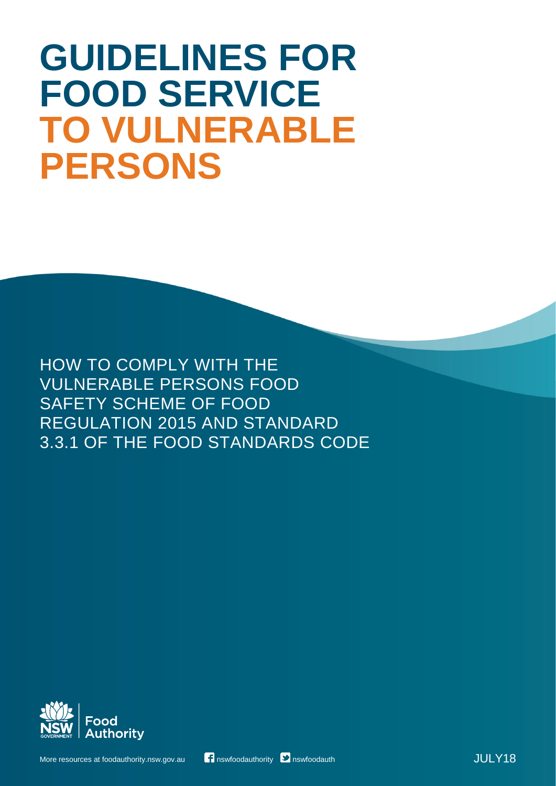# **GUIDELINES FOR FOOD SERVICE TO VULNERABLE PERSONS**

HOW TO COMPLY WITH THE VULNERABLE PERSONS FOOD SAFETY SCHEME OF FOOD REGULATION 2015 AND STANDARD 3.3.1 OF THE FOOD STANDARDS CODE

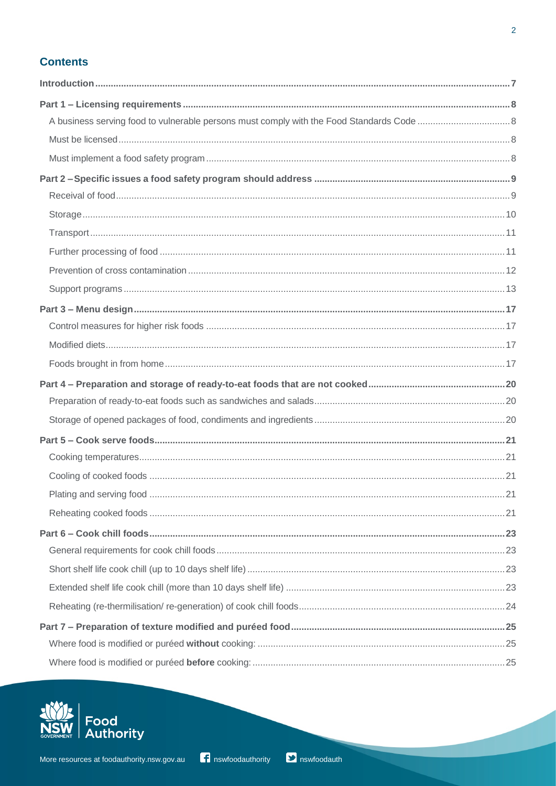## **Contents**

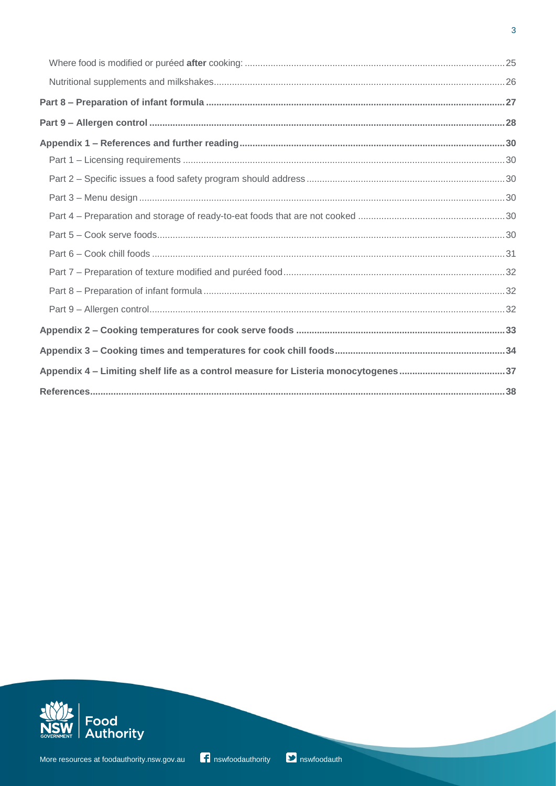

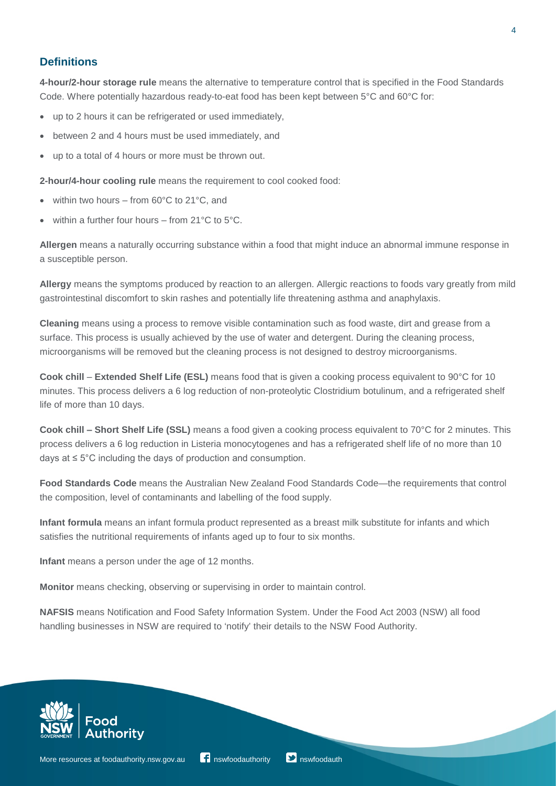## **Definitions**

**4-hour/2-hour storage rule** means the alternative to temperature control that is specified in the Food Standards Code. Where potentially hazardous ready-to-eat food has been kept between 5°C and 60°C for:

- up to 2 hours it can be refrigerated or used immediately,
- between 2 and 4 hours must be used immediately, and
- up to a total of 4 hours or more must be thrown out.

**2-hour/4-hour cooling rule** means the requirement to cool cooked food:

- within two hours from  $60^{\circ}$ C to  $21^{\circ}$ C, and
- within a further four hours from  $21^{\circ}$ C to  $5^{\circ}$ C.

**Allergen** means a naturally occurring substance within a food that might induce an abnormal immune response in a susceptible person.

**Allergy** means the symptoms produced by reaction to an allergen. Allergic reactions to foods vary greatly from mild gastrointestinal discomfort to skin rashes and potentially life threatening asthma and anaphylaxis.

**Cleaning** means using a process to remove visible contamination such as food waste, dirt and grease from a surface. This process is usually achieved by the use of water and detergent. During the cleaning process, microorganisms will be removed but the cleaning process is not designed to destroy microorganisms.

**Cook chill** ‒ **Extended Shelf Life (ESL)** means food that is given a cooking process equivalent to 90°C for 10 minutes. This process delivers a 6 log reduction of non-proteolytic Clostridium botulinum, and a refrigerated shelf life of more than 10 days.

**Cook chill ‒ Short Shelf Life (SSL)** means a food given a cooking process equivalent to 70°C for 2 minutes. This process delivers a 6 log reduction in Listeria monocytogenes and has a refrigerated shelf life of no more than 10 days at ≤ 5°C including the days of production and consumption.

**Food Standards Code** means the Australian New Zealand Food Standards Code—the requirements that control the composition, level of contaminants and labelling of the food supply.

**Infant formula** means an infant formula product represented as a breast milk substitute for infants and which satisfies the nutritional requirements of infants aged up to four to six months.

**Infant** means a person under the age of 12 months.

**Monitor** means checking, observing or supervising in order to maintain control.

**NAFSIS** means Notification and Food Safety Information System. Under the Food Act 2003 (NSW) all food handling businesses in NSW are required to 'notify' their details to the NSW Food Authority.



4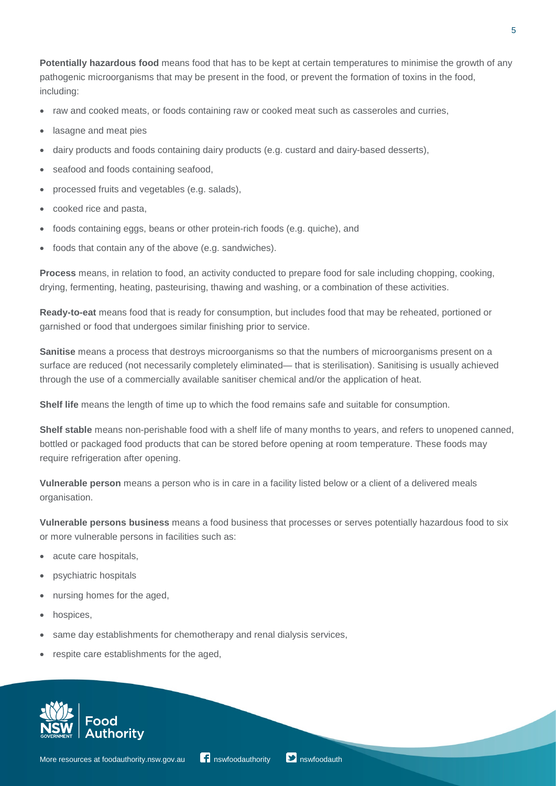**Potentially hazardous food** means food that has to be kept at certain temperatures to minimise the growth of any pathogenic microorganisms that may be present in the food, or prevent the formation of toxins in the food, including:

- raw and cooked meats, or foods containing raw or cooked meat such as casseroles and curries,
- lasagne and meat pies
- dairy products and foods containing dairy products (e.g. custard and dairy-based desserts),
- seafood and foods containing seafood,
- processed fruits and vegetables (e.g. salads),
- cooked rice and pasta,
- foods containing eggs, beans or other protein-rich foods (e.g. quiche), and
- foods that contain any of the above (e.g. sandwiches).

**Process** means, in relation to food, an activity conducted to prepare food for sale including chopping, cooking, drying, fermenting, heating, pasteurising, thawing and washing, or a combination of these activities.

**Ready-to-eat** means food that is ready for consumption, but includes food that may be reheated, portioned or garnished or food that undergoes similar finishing prior to service.

**Sanitise** means a process that destroys microorganisms so that the numbers of microorganisms present on a surface are reduced (not necessarily completely eliminated— that is sterilisation). Sanitising is usually achieved through the use of a commercially available sanitiser chemical and/or the application of heat.

**Shelf life** means the length of time up to which the food remains safe and suitable for consumption.

**Shelf stable** means non-perishable food with a shelf life of many months to years, and refers to unopened canned, bottled or packaged food products that can be stored before opening at room temperature. These foods may require refrigeration after opening.

**Vulnerable person** means a person who is in care in a facility listed below or a client of a delivered meals organisation.

**Vulnerable persons business** means a food business that processes or serves potentially hazardous food to six or more vulnerable persons in facilities such as:

- acute care hospitals,
- psychiatric hospitals
- nursing homes for the aged,
- hospices,
- same day establishments for chemotherapy and renal dialysis services,
- respite care establishments for the aged,

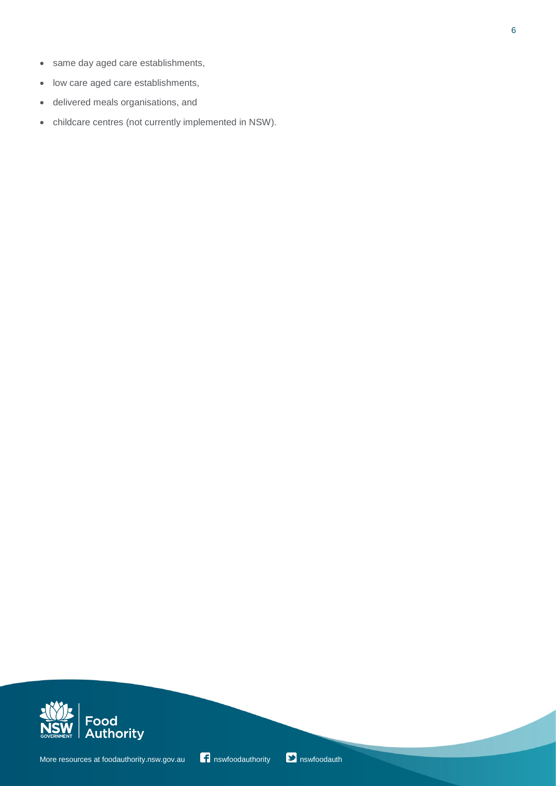- same day aged care establishments,
- low care aged care establishments,
- delivered meals organisations, and
- childcare centres (not currently implemented in NSW).



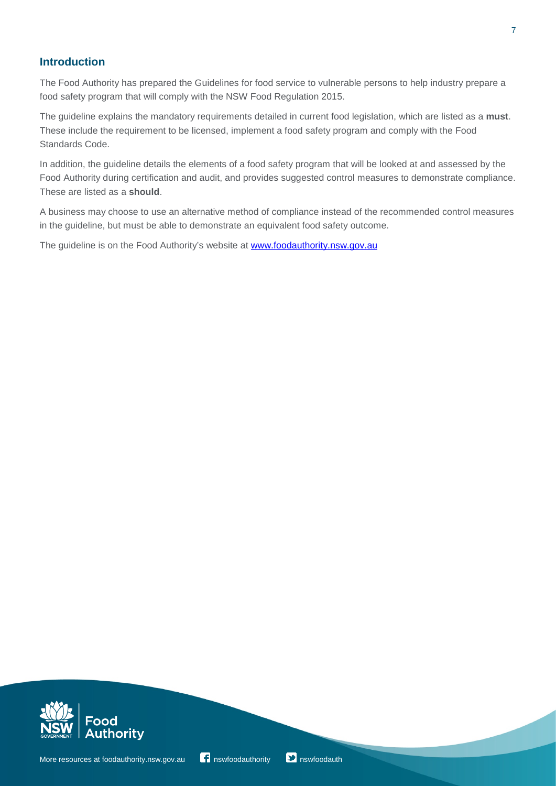## **Introduction**

The Food Authority has prepared the Guidelines for food service to vulnerable persons to help industry prepare a food safety program that will comply with the NSW Food Regulation 2015.

The guideline explains the mandatory requirements detailed in current food legislation, which are listed as a **must**. These include the requirement to be licensed, implement a food safety program and comply with the Food Standards Code.

In addition, the guideline details the elements of a food safety program that will be looked at and assessed by the Food Authority during certification and audit, and provides suggested control measures to demonstrate compliance. These are listed as a **should**.

A business may choose to use an alternative method of compliance instead of the recommended control measures in the guideline, but must be able to demonstrate an equivalent food safety outcome.

The guideline is on the Food Authority's website at [www.foodauthority.nsw.gov.au](http://www.foodauthority.nsw.gov.au/)



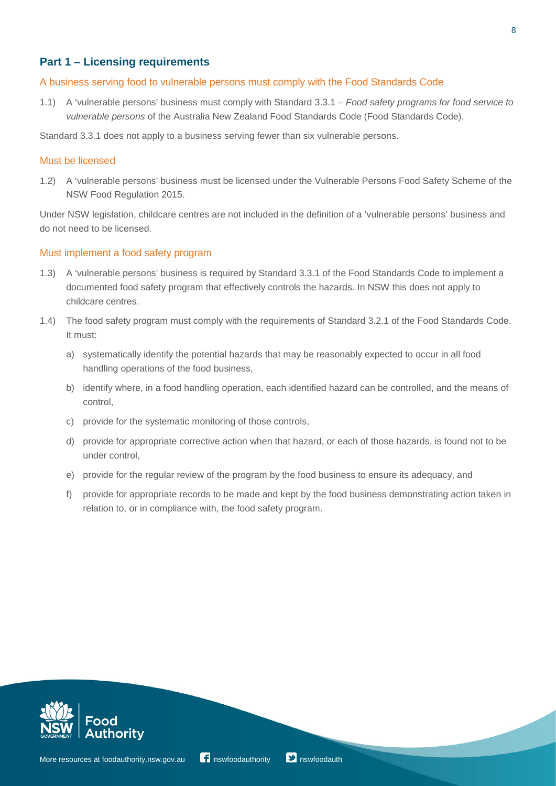## **Part 1 ‒ Licensing requirements**

#### A business serving food to vulnerable persons must comply with the Food Standards Code

1.1) A 'vulnerable persons' business must comply with Standard 3.3.1 – *Food safety programs for food service to vulnerable persons* of the Australia New Zealand Food Standards Code (Food Standards Code).

Standard 3.3.1 does not apply to a business serving fewer than six vulnerable persons.

#### Must be licensed

1.2) A 'vulnerable persons' business must be licensed under the Vulnerable Persons Food Safety Scheme of the NSW Food Regulation 2015.

Under NSW legislation, childcare centres are not included in the definition of a 'vulnerable persons' business and do not need to be licensed.

#### Must implement a food safety program

- 1.3) A 'vulnerable persons' business is required by Standard 3.3.1 of the Food Standards Code to implement a documented food safety program that effectively controls the hazards. In NSW this does not apply to childcare centres.
- 1.4) The food safety program must comply with the requirements of Standard 3.2.1 of the Food Standards Code. It must:
	- a) systematically identify the potential hazards that may be reasonably expected to occur in all food handling operations of the food business,
	- b) identify where, in a food handling operation, each identified hazard can be controlled, and the means of control,
	- c) provide for the systematic monitoring of those controls,
	- d) provide for appropriate corrective action when that hazard, or each of those hazards, is found not to be under control,
	- e) provide for the regular review of the program by the food business to ensure its adequacy, and
	- f) provide for appropriate records to be made and kept by the food business demonstrating action taken in relation to, or in compliance with, the food safety program.

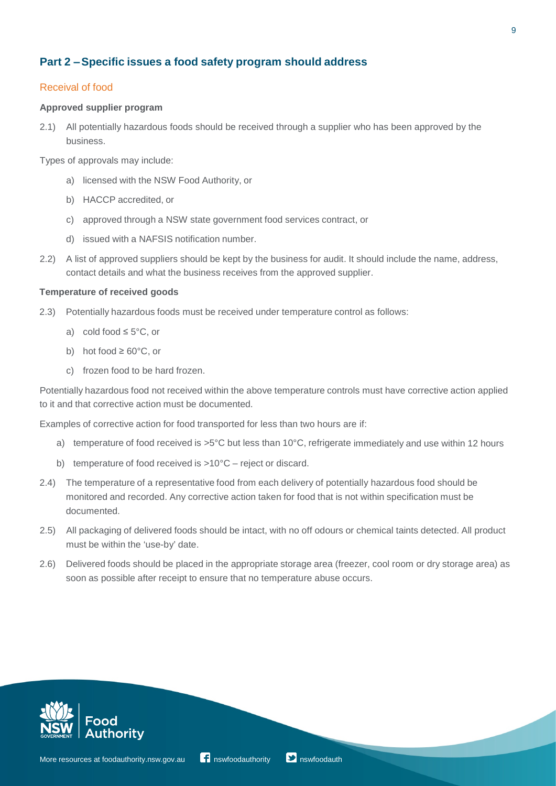## **Part 2 ‒Specific issues a food safety program should address**

#### Receival of food

#### **Approved supplier program**

2.1) All potentially hazardous foods should be received through a supplier who has been approved by the business.

Types of approvals may include:

- a) licensed with the NSW Food Authority, or
- b) HACCP accredited, or
- c) approved through a NSW state government food services contract, or
- d) issued with a NAFSIS notification number.
- 2.2) A list of approved suppliers should be kept by the business for audit. It should include the name, address, contact details and what the business receives from the approved supplier.

#### **Temperature of received goods**

- 2.3) Potentially hazardous foods must be received under temperature control as follows:
	- a) cold food  $\leq 5^{\circ}$ C, or
	- b) hot food  $\geq 60^{\circ}$ C, or
	- c) frozen food to be hard frozen.

Potentially hazardous food not received within the above temperature controls must have corrective action applied to it and that corrective action must be documented.

Examples of corrective action for food transported for less than two hours are if:

- a) temperature of food received is >5°C but less than 10°C, refrigerate immediately and use within 12 hours
- b) temperature of food received is >10°C reject or discard.
- 2.4) The temperature of a representative food from each delivery of potentially hazardous food should be monitored and recorded. Any corrective action taken for food that is not within specification must be documented.
- 2.5) All packaging of delivered foods should be intact, with no off odours or chemical taints detected. All product must be within the 'use-by' date.
- 2.6) Delivered foods should be placed in the appropriate storage area (freezer, cool room or dry storage area) as soon as possible after receipt to ensure that no temperature abuse occurs.



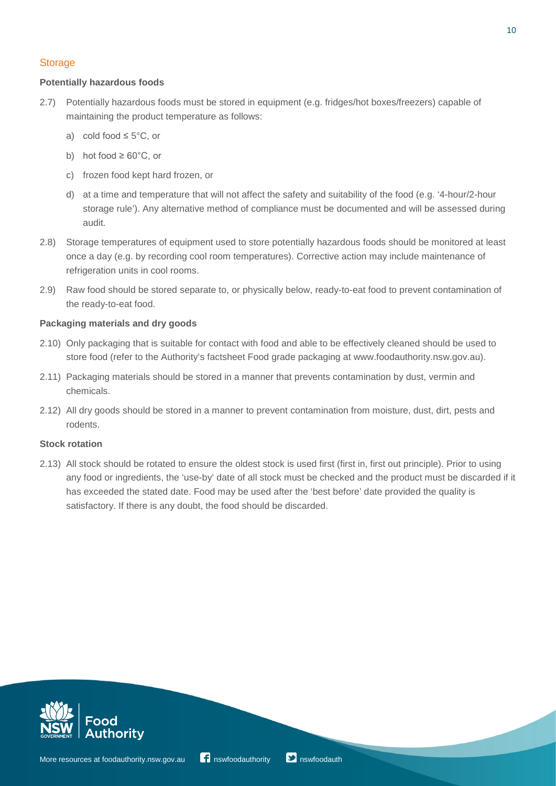#### **Storage**

#### **Potentially hazardous foods**

- 2.7) Potentially hazardous foods must be stored in equipment (e.g. fridges/hot boxes/freezers) capable of maintaining the product temperature as follows:
	- a) cold food  $\leq 5^{\circ}$ C, or
	- b) hot food  $\geq 60^{\circ}$ C, or
	- c) frozen food kept hard frozen, or
	- d) at a time and temperature that will not affect the safety and suitability of the food (e.g. '4-hour/2-hour storage rule'). Any alternative method of compliance must be documented and will be assessed during audit.
- 2.8) Storage temperatures of equipment used to store potentially hazardous foods should be monitored at least once a day (e.g. by recording cool room temperatures). Corrective action may include maintenance of refrigeration units in cool rooms.
- 2.9) Raw food should be stored separate to, or physically below, ready-to-eat food to prevent contamination of the ready-to-eat food.

#### **Packaging materials and dry goods**

- 2.10) Only packaging that is suitable for contact with food and able to be effectively cleaned should be used to store food (refer to the Authority's factsheet Food grade packaging at www.foodauthority.nsw.gov.au).
- 2.11) Packaging materials should be stored in a manner that prevents contamination by dust, vermin and chemicals.
- 2.12) All dry goods should be stored in a manner to prevent contamination from moisture, dust, dirt, pests and rodents.

#### **Stock rotation**

2.13) All stock should be rotated to ensure the oldest stock is used first (first in, first out principle). Prior to using any food or ingredients, the 'use-by' date of all stock must be checked and the product must be discarded if it has exceeded the stated date. Food may be used after the 'best before' date provided the quality is satisfactory. If there is any doubt, the food should be discarded.



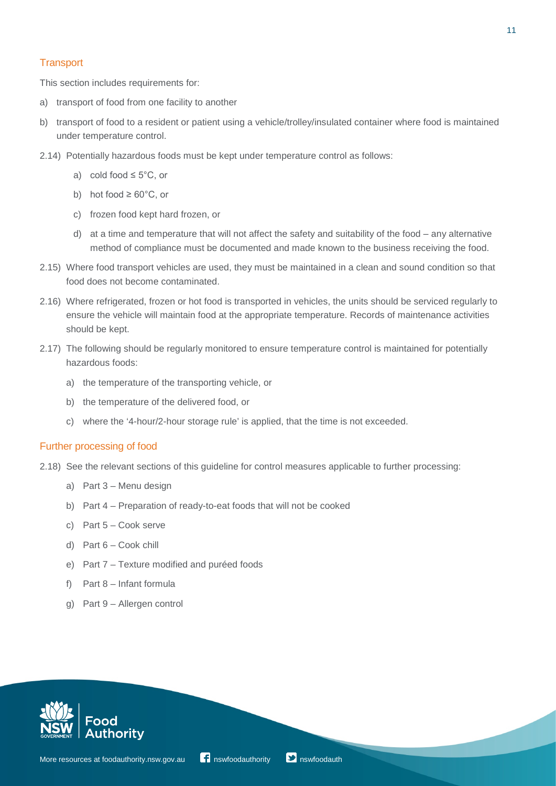#### **Transport**

This section includes requirements for:

- a) transport of food from one facility to another
- b) transport of food to a resident or patient using a vehicle/trolley/insulated container where food is maintained under temperature control.
- 2.14) Potentially hazardous foods must be kept under temperature control as follows:
	- a) cold food  $\leq 5^{\circ}$ C, or
	- b) hot food  $\geq 60^{\circ}$ C, or
	- c) frozen food kept hard frozen, or
	- d) at a time and temperature that will not affect the safety and suitability of the food ‒ any alternative method of compliance must be documented and made known to the business receiving the food.
- 2.15) Where food transport vehicles are used, they must be maintained in a clean and sound condition so that food does not become contaminated.
- 2.16) Where refrigerated, frozen or hot food is transported in vehicles, the units should be serviced regularly to ensure the vehicle will maintain food at the appropriate temperature. Records of maintenance activities should be kept.
- 2.17) The following should be regularly monitored to ensure temperature control is maintained for potentially hazardous foods:
	- a) the temperature of the transporting vehicle, or
	- b) the temperature of the delivered food, or
	- c) where the '4-hour/2-hour storage rule' is applied, that the time is not exceeded.

#### Further processing of food

- 2.18) See the relevant sections of this guideline for control measures applicable to further processing:
	- a) Part 3 Menu design
	- b) Part 4 Preparation of ready-to-eat foods that will not be cooked
	- c) Part 5 Cook serve
	- d) Part 6 Cook chill
	- e) Part 7 Texture modified and puréed foods
	- f) Part 8 Infant formula
	- g) Part 9 Allergen control

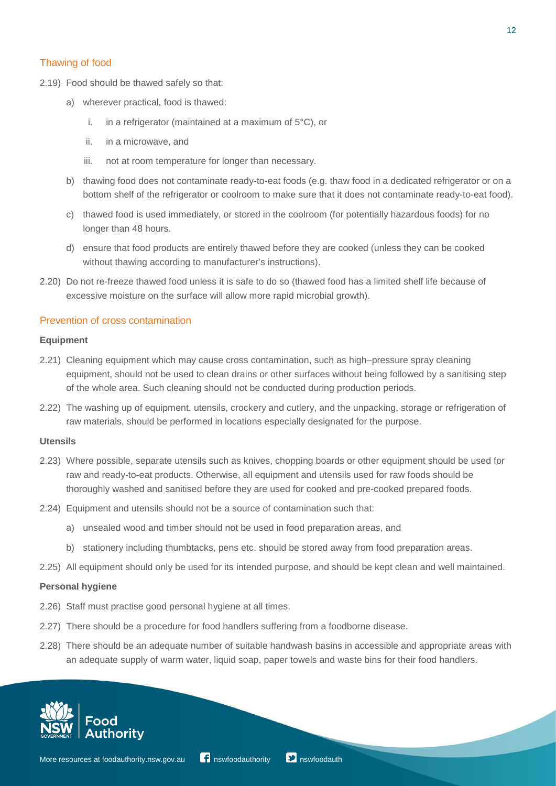#### Thawing of food

- 2.19) Food should be thawed safely so that:
	- a) wherever practical, food is thawed:
		- i. in a refrigerator (maintained at a maximum of 5°C), or
		- ii. in a microwave, and
		- iii. not at room temperature for longer than necessary.
	- b) thawing food does not contaminate ready-to-eat foods (e.g. thaw food in a dedicated refrigerator or on a bottom shelf of the refrigerator or coolroom to make sure that it does not contaminate ready-to-eat food).
	- c) thawed food is used immediately, or stored in the coolroom (for potentially hazardous foods) for no longer than 48 hours.
	- d) ensure that food products are entirely thawed before they are cooked (unless they can be cooked without thawing according to manufacturer's instructions).
- 2.20) Do not re-freeze thawed food unless it is safe to do so (thawed food has a limited shelf life because of excessive moisture on the surface will allow more rapid microbial growth).

#### Prevention of cross contamination

#### **Equipment**

- 2.21) Cleaning equipment which may cause cross contamination, such as high–pressure spray cleaning equipment, should not be used to clean drains or other surfaces without being followed by a sanitising step of the whole area. Such cleaning should not be conducted during production periods.
- 2.22) The washing up of equipment, utensils, crockery and cutlery, and the unpacking, storage or refrigeration of raw materials, should be performed in locations especially designated for the purpose.

#### **Utensils**

- 2.23) Where possible, separate utensils such as knives, chopping boards or other equipment should be used for raw and ready-to-eat products. Otherwise, all equipment and utensils used for raw foods should be thoroughly washed and sanitised before they are used for cooked and pre-cooked prepared foods.
- 2.24) Equipment and utensils should not be a source of contamination such that:
	- a) unsealed wood and timber should not be used in food preparation areas, and
	- b) stationery including thumbtacks, pens etc. should be stored away from food preparation areas.
- 2.25) All equipment should only be used for its intended purpose, and should be kept clean and well maintained.

#### **Personal hygiene**

- 2.26) Staff must practise good personal hygiene at all times.
- 2.27) There should be a procedure for food handlers suffering from a foodborne disease.
- 2.28) There should be an adequate number of suitable handwash basins in accessible and appropriate areas with an adequate supply of warm water, liquid soap, paper towels and waste bins for their food handlers.

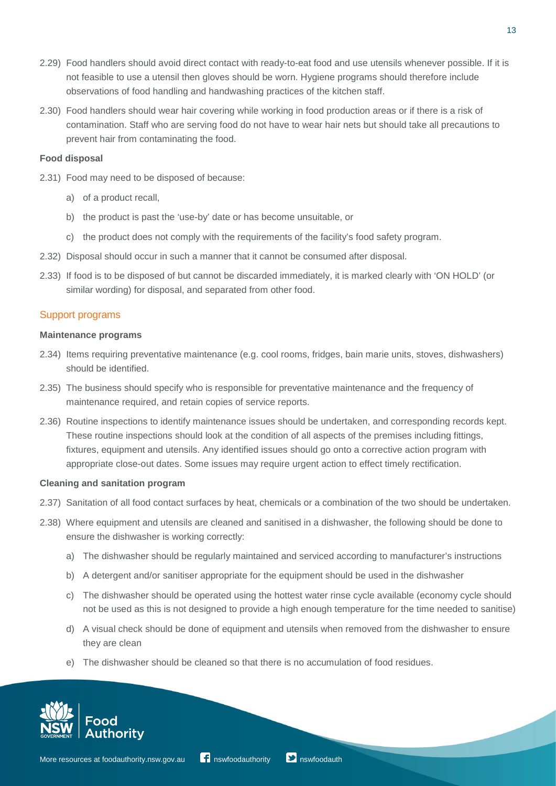- 2.29) Food handlers should avoid direct contact with ready-to-eat food and use utensils whenever possible. If it is not feasible to use a utensil then gloves should be worn. Hygiene programs should therefore include observations of food handling and handwashing practices of the kitchen staff.
- 2.30) Food handlers should wear hair covering while working in food production areas or if there is a risk of contamination. Staff who are serving food do not have to wear hair nets but should take all precautions to prevent hair from contaminating the food.

#### **Food disposal**

- 2.31) Food may need to be disposed of because:
	- a) of a product recall,
	- b) the product is past the 'use-by' date or has become unsuitable, or
	- c) the product does not comply with the requirements of the facility's food safety program.
- 2.32) Disposal should occur in such a manner that it cannot be consumed after disposal.
- 2.33) If food is to be disposed of but cannot be discarded immediately, it is marked clearly with 'ON HOLD' (or similar wording) for disposal, and separated from other food.

#### Support programs

#### **Maintenance programs**

- 2.34) Items requiring preventative maintenance (e.g. cool rooms, fridges, bain marie units, stoves, dishwashers) should be identified.
- 2.35) The business should specify who is responsible for preventative maintenance and the frequency of maintenance required, and retain copies of service reports.
- 2.36) Routine inspections to identify maintenance issues should be undertaken, and corresponding records kept. These routine inspections should look at the condition of all aspects of the premises including fittings, fixtures, equipment and utensils. Any identified issues should go onto a corrective action program with appropriate close-out dates. Some issues may require urgent action to effect timely rectification.

#### **Cleaning and sanitation program**

- 2.37) Sanitation of all food contact surfaces by heat, chemicals or a combination of the two should be undertaken.
- 2.38) Where equipment and utensils are cleaned and sanitised in a dishwasher, the following should be done to ensure the dishwasher is working correctly:
	- a) The dishwasher should be regularly maintained and serviced according to manufacturer's instructions
	- b) A detergent and/or sanitiser appropriate for the equipment should be used in the dishwasher
	- c) The dishwasher should be operated using the hottest water rinse cycle available (economy cycle should not be used as this is not designed to provide a high enough temperature for the time needed to sanitise)
	- d) A visual check should be done of equipment and utensils when removed from the dishwasher to ensure they are clean
	- e) The dishwasher should be cleaned so that there is no accumulation of food residues.

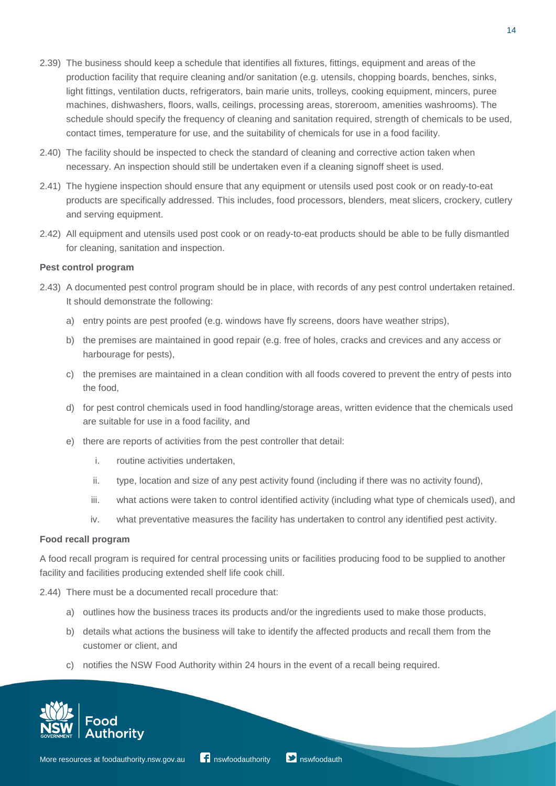- 2.39) The business should keep a schedule that identifies all fixtures, fittings, equipment and areas of the production facility that require cleaning and/or sanitation (e.g. utensils, chopping boards, benches, sinks, light fittings, ventilation ducts, refrigerators, bain marie units, trolleys, cooking equipment, mincers, puree machines, dishwashers, floors, walls, ceilings, processing areas, storeroom, amenities washrooms). The schedule should specify the frequency of cleaning and sanitation required, strength of chemicals to be used, contact times, temperature for use, and the suitability of chemicals for use in a food facility.
- 2.40) The facility should be inspected to check the standard of cleaning and corrective action taken when necessary. An inspection should still be undertaken even if a cleaning signoff sheet is used.
- 2.41) The hygiene inspection should ensure that any equipment or utensils used post cook or on ready-to-eat products are specifically addressed. This includes, food processors, blenders, meat slicers, crockery, cutlery and serving equipment.
- 2.42) All equipment and utensils used post cook or on ready-to-eat products should be able to be fully dismantled for cleaning, sanitation and inspection.

#### **Pest control program**

- 2.43) A documented pest control program should be in place, with records of any pest control undertaken retained. It should demonstrate the following:
	- a) entry points are pest proofed (e.g. windows have fly screens, doors have weather strips),
	- b) the premises are maintained in good repair (e.g. free of holes, cracks and crevices and any access or harbourage for pests),
	- c) the premises are maintained in a clean condition with all foods covered to prevent the entry of pests into the food,
	- d) for pest control chemicals used in food handling/storage areas, written evidence that the chemicals used are suitable for use in a food facility, and
	- e) there are reports of activities from the pest controller that detail:
		- i. routine activities undertaken,
		- ii. type, location and size of any pest activity found (including if there was no activity found),
		- iii. what actions were taken to control identified activity (including what type of chemicals used), and
		- iv. what preventative measures the facility has undertaken to control any identified pest activity.

#### **Food recall program**

A food recall program is required for central processing units or facilities producing food to be supplied to another facility and facilities producing extended shelf life cook chill.

- 2.44) There must be a documented recall procedure that:
	- a) outlines how the business traces its products and/or the ingredients used to make those products,
	- b) details what actions the business will take to identify the affected products and recall them from the customer or client, and
	- c) notifies the NSW Food Authority within 24 hours in the event of a recall being required.

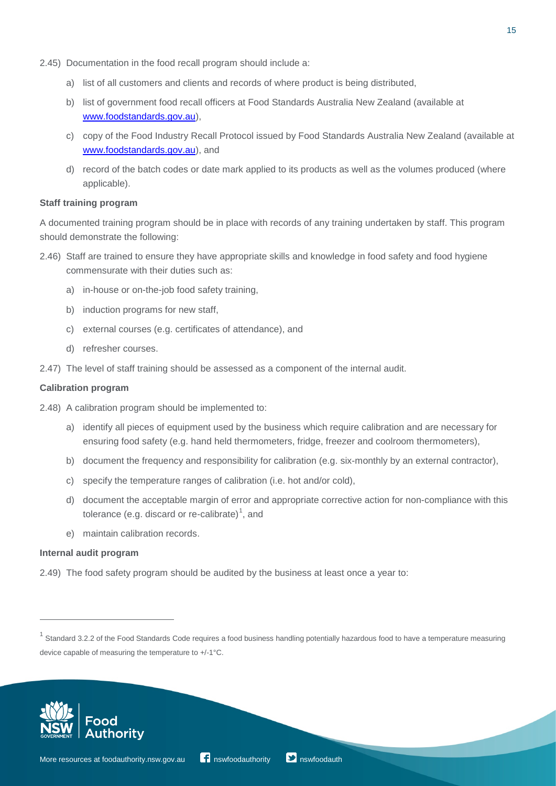- 2.45) Documentation in the food recall program should include a:
	- a) list of all customers and clients and records of where product is being distributed,
	- b) list of government food recall officers at Food Standards Australia New Zealand (available at [www.foodstandards.gov.au\)](file://svflprt02/food/Consumer%20and%20Corporate%20Services/Communications/Industry/Vulnerable%20persons/Manual/www.foodstandards.gov.au),
	- c) copy of the Food Industry Recall Protocol issued by Food Standards Australia New Zealand (available at [www.foodstandards.gov.au\)](file://svflprt02/food/Consumer%20and%20Corporate%20Services/Communications/Industry/Vulnerable%20persons/Manual/www.foodstandards.gov.au), and
	- d) record of the batch codes or date mark applied to its products as well as the volumes produced (where applicable).

#### **Staff training program**

A documented training program should be in place with records of any training undertaken by staff. This program should demonstrate the following:

- 2.46) Staff are trained to ensure they have appropriate skills and knowledge in food safety and food hygiene commensurate with their duties such as:
	- a) in-house or on-the-job food safety training,
	- b) induction programs for new staff,
	- c) external courses (e.g. certificates of attendance), and
	- d) refresher courses.
- 2.47) The level of staff training should be assessed as a component of the internal audit.

#### **Calibration program**

- 2.48) A calibration program should be implemented to:
	- a) identify all pieces of equipment used by the business which require calibration and are necessary for ensuring food safety (e.g. hand held thermometers, fridge, freezer and coolroom thermometers),
	- b) document the frequency and responsibility for calibration (e.g. six-monthly by an external contractor),
	- c) specify the temperature ranges of calibration (i.e. hot and/or cold),
	- d) document the acceptable margin of error and appropriate corrective action for non-compliance with this tolerance (e.g. discard or re-calibrate)<sup>[1](#page-14-0)</sup>, and
	- e) maintain calibration records.

#### **Internal audit program**

 $\overline{a}$ 

2.49) The food safety program should be audited by the business at least once a year to:



<span id="page-14-0"></span> $1$  Standard 3.2.2 of the Food Standards Code requires a food business handling potentially hazardous food to have a temperature measuring device capable of measuring the temperature to +/-1°C.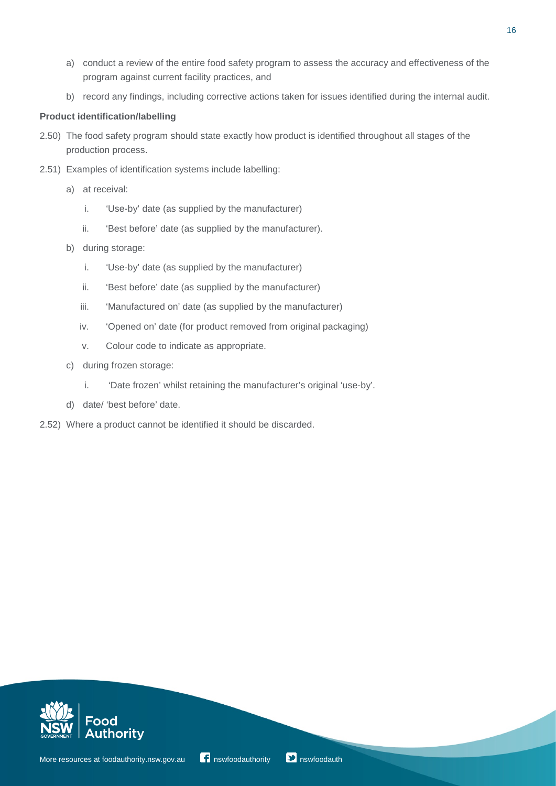- a) conduct a review of the entire food safety program to assess the accuracy and effectiveness of the program against current facility practices, and
- b) record any findings, including corrective actions taken for issues identified during the internal audit.

#### **Product identification/labelling**

- 2.50) The food safety program should state exactly how product is identified throughout all stages of the production process.
- 2.51) Examples of identification systems include labelling:
	- a) at receival:
		- i. 'Use-by' date (as supplied by the manufacturer)
		- ii. 'Best before' date (as supplied by the manufacturer).
	- b) during storage:
		- i. 'Use-by' date (as supplied by the manufacturer)
		- ii. 'Best before' date (as supplied by the manufacturer)
		- iii. 'Manufactured on' date (as supplied by the manufacturer)
		- iv. 'Opened on' date (for product removed from original packaging)
		- v. Colour code to indicate as appropriate.
	- c) during frozen storage:
		- i. 'Date frozen' whilst retaining the manufacturer's original 'use-by'.
	- d) date/ 'best before' date.
- 2.52) Where a product cannot be identified it should be discarded.



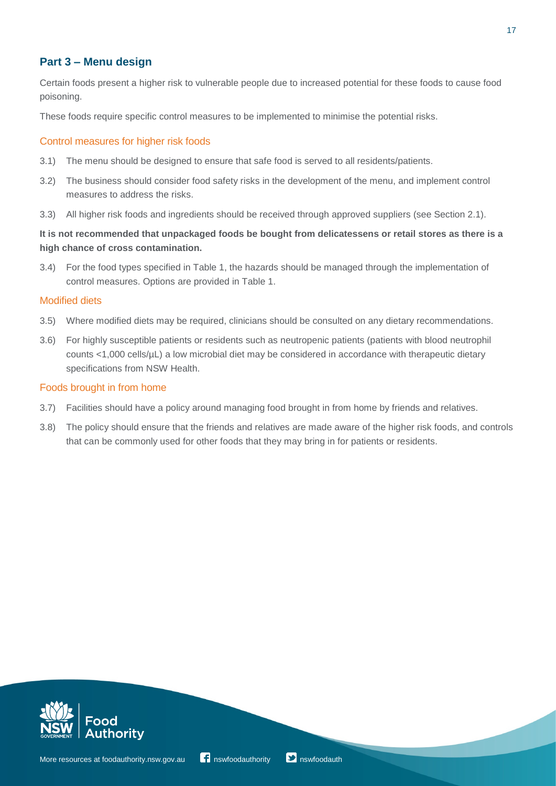## **Part 3 ‒ Menu design**

Certain foods present a higher risk to vulnerable people due to increased potential for these foods to cause food poisoning.

These foods require specific control measures to be implemented to minimise the potential risks.

#### Control measures for higher risk foods

- 3.1) The menu should be designed to ensure that safe food is served to all residents/patients.
- 3.2) The business should consider food safety risks in the development of the menu, and implement control measures to address the risks.
- 3.3) All higher risk foods and ingredients should be received through approved suppliers (see Section 2.1).

## **It is not recommended that unpackaged foods be bought from delicatessens or retail stores as there is a high chance of cross contamination.**

3.4) For the food types specified in Table 1, the hazards should be managed through the implementation of control measures. Options are provided in Table 1.

#### Modified diets

- 3.5) Where modified diets may be required, clinicians should be consulted on any dietary recommendations.
- 3.6) For highly susceptible patients or residents such as neutropenic patients (patients with blood neutrophil counts <1,000 cells/µL) a low microbial diet may be considered in accordance with therapeutic dietary specifications from NSW Health.

#### Foods brought in from home

- 3.7) Facilities should have a policy around managing food brought in from home by friends and relatives.
- 3.8) The policy should ensure that the friends and relatives are made aware of the higher risk foods, and controls that can be commonly used for other foods that they may bring in for patients or residents.



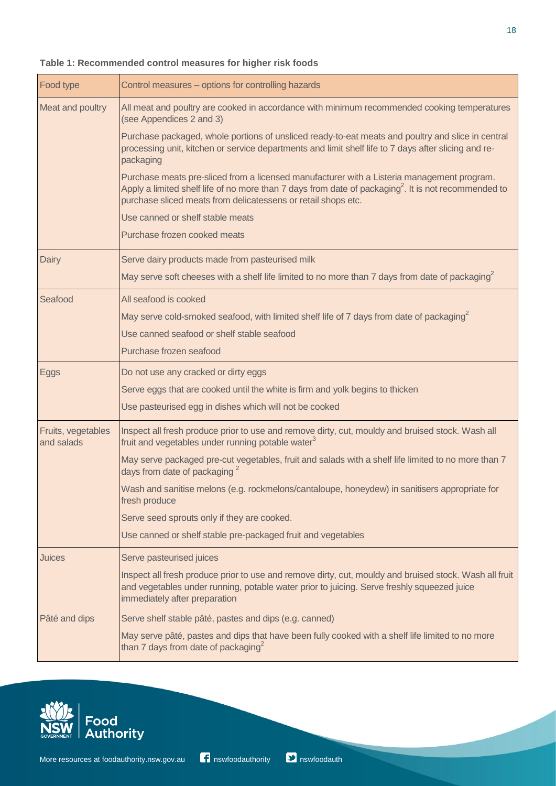| Meat and poultry                 | All meat and poultry are cooked in accordance with minimum recommended cooking temperatures<br>(see Appendices 2 and 3)                                                                                                                                                 |
|----------------------------------|-------------------------------------------------------------------------------------------------------------------------------------------------------------------------------------------------------------------------------------------------------------------------|
|                                  | Purchase packaged, whole portions of unsliced ready-to-eat meats and poultry and slice in central<br>processing unit, kitchen or service departments and limit shelf life to 7 days after slicing and re-<br>packaging                                                  |
|                                  | Purchase meats pre-sliced from a licensed manufacturer with a Listeria management program.<br>Apply a limited shelf life of no more than 7 days from date of packaging $^2$ . It is not recommended to<br>purchase sliced meats from delicatessens or retail shops etc. |
|                                  | Use canned or shelf stable meats                                                                                                                                                                                                                                        |
|                                  | Purchase frozen cooked meats                                                                                                                                                                                                                                            |
| Dairy                            | Serve dairy products made from pasteurised milk                                                                                                                                                                                                                         |
|                                  | May serve soft cheeses with a shelf life limited to no more than 7 days from date of packaging <sup>2</sup>                                                                                                                                                             |
| Seafood                          | All seafood is cooked                                                                                                                                                                                                                                                   |
|                                  | May serve cold-smoked seafood, with limited shelf life of 7 days from date of packaging <sup>2</sup>                                                                                                                                                                    |
|                                  | Use canned seafood or shelf stable seafood                                                                                                                                                                                                                              |
|                                  | Purchase frozen seafood                                                                                                                                                                                                                                                 |
| <b>Eggs</b>                      | Do not use any cracked or dirty eggs                                                                                                                                                                                                                                    |
|                                  | Serve eggs that are cooked until the white is firm and yolk begins to thicken                                                                                                                                                                                           |
|                                  | Use pasteurised egg in dishes which will not be cooked                                                                                                                                                                                                                  |
| Fruits, vegetables<br>and salads | Inspect all fresh produce prior to use and remove dirty, cut, mouldy and bruised stock. Wash all<br>fruit and vegetables under running potable water <sup>3</sup>                                                                                                       |
|                                  | May serve packaged pre-cut vegetables, fruit and salads with a shelf life limited to no more than 7<br>days from date of packaging <sup>2</sup>                                                                                                                         |
|                                  | Wash and sanitise melons (e.g. rockmelons/cantaloupe, honeydew) in sanitisers appropriate for<br>fresh produce                                                                                                                                                          |
|                                  | Serve seed sprouts only if they are cooked.                                                                                                                                                                                                                             |
|                                  | Use canned or shelf stable pre-packaged fruit and vegetables                                                                                                                                                                                                            |
| Juices                           | Serve pasteurised juices                                                                                                                                                                                                                                                |

#### **Table 1: Recommended control measures for higher risk foods**

Food type **Control measures** – options for controlling hazards



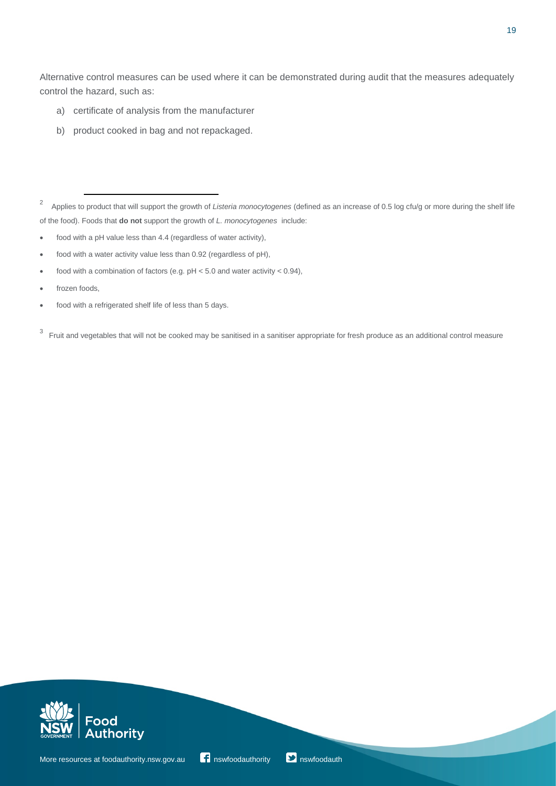Alternative control measures can be used where it can be demonstrated during audit that the measures adequately control the hazard, such as:

- a) certificate of analysis from the manufacturer
- b) product cooked in bag and not repackaged.

- food with a pH value less than 4.4 (regardless of water activity),
- food with a water activity value less than 0.92 (regardless of pH),
- food with a combination of factors (e.g.  $pH < 5.0$  and water activity  $< 0.94$ ),
- frozen foods,
- food with a refrigerated shelf life of less than 5 days.

<sup>3</sup> Fruit and vegetables that will not be cooked may be sanitised in a sanitiser appropriate for fresh produce as an additional control measure





<sup>2</sup> Applies to product that will support the growth of *Listeria monocytogenes* (defined as an increase of 0.5 log cfu/g or more during the shelf life of the food). Foods that **do not** support the growth of *L. monocytogenes* include: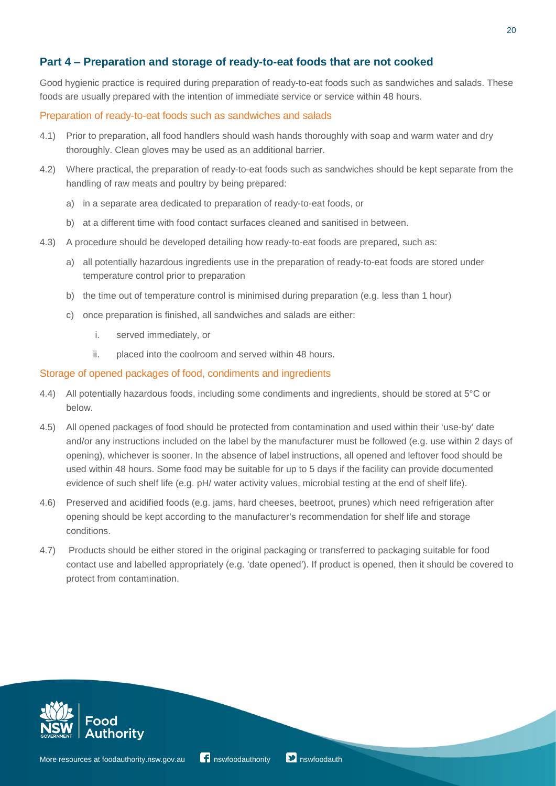## **Part 4 ‒ Preparation and storage of ready-to-eat foods that are not cooked**

Good hygienic practice is required during preparation of ready-to-eat foods such as sandwiches and salads. These foods are usually prepared with the intention of immediate service or service within 48 hours.

#### Preparation of ready-to-eat foods such as sandwiches and salads

- 4.1) Prior to preparation, all food handlers should wash hands thoroughly with soap and warm water and dry thoroughly. Clean gloves may be used as an additional barrier.
- 4.2) Where practical, the preparation of ready-to-eat foods such as sandwiches should be kept separate from the handling of raw meats and poultry by being prepared:
	- a) in a separate area dedicated to preparation of ready-to-eat foods, or
	- b) at a different time with food contact surfaces cleaned and sanitised in between.
- 4.3) A procedure should be developed detailing how ready-to-eat foods are prepared, such as:
	- a) all potentially hazardous ingredients use in the preparation of ready-to-eat foods are stored under temperature control prior to preparation
	- b) the time out of temperature control is minimised during preparation (e.g. less than 1 hour)
	- c) once preparation is finished, all sandwiches and salads are either:
		- i. served immediately, or
		- ii. placed into the coolroom and served within 48 hours.

#### Storage of opened packages of food, condiments and ingredients

- 4.4) All potentially hazardous foods, including some condiments and ingredients, should be stored at 5°C or below.
- 4.5) All opened packages of food should be protected from contamination and used within their 'use-by' date and/or any instructions included on the label by the manufacturer must be followed (e.g. use within 2 days of opening), whichever is sooner. In the absence of label instructions, all opened and leftover food should be used within 48 hours. Some food may be suitable for up to 5 days if the facility can provide documented evidence of such shelf life (e.g. pH/ water activity values, microbial testing at the end of shelf life).
- 4.6) Preserved and acidified foods (e.g. jams, hard cheeses, beetroot, prunes) which need refrigeration after opening should be kept according to the manufacturer's recommendation for shelf life and storage conditions.
- 4.7) Products should be either stored in the original packaging or transferred to packaging suitable for food contact use and labelled appropriately (e.g. 'date opened'). If product is opened, then it should be covered to protect from contamination.



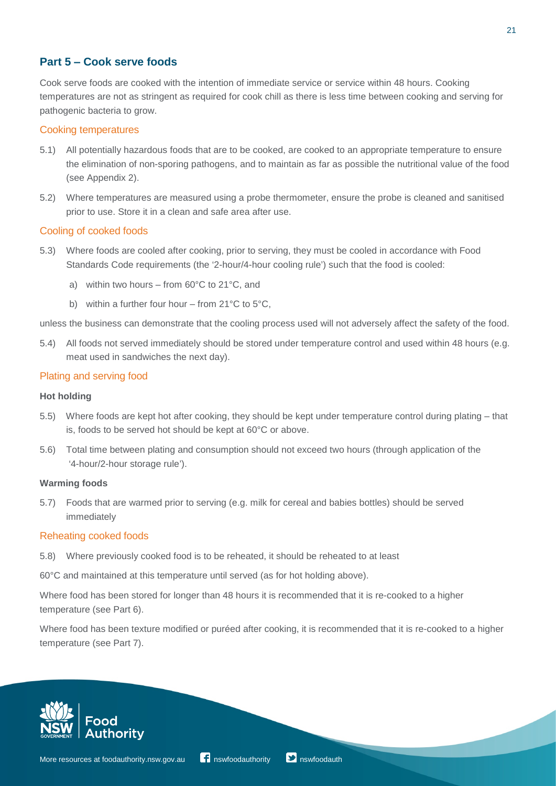## **Part 5 ‒ Cook serve foods**

Cook serve foods are cooked with the intention of immediate service or service within 48 hours. Cooking temperatures are not as stringent as required for cook chill as there is less time between cooking and serving for pathogenic bacteria to grow.

#### Cooking temperatures

- 5.1) All potentially hazardous foods that are to be cooked, are cooked to an appropriate temperature to ensure the elimination of non-sporing pathogens, and to maintain as far as possible the nutritional value of the food (see Appendix 2).
- 5.2) Where temperatures are measured using a probe thermometer, ensure the probe is cleaned and sanitised prior to use. Store it in a clean and safe area after use.

#### Cooling of cooked foods

- 5.3) Where foods are cooled after cooking, prior to serving, they must be cooled in accordance with Food Standards Code requirements (the '2-hour/4-hour cooling rule') such that the food is cooled:
	- a) within two hours  $-$  from 60 $\degree$ C to 21 $\degree$ C, and
	- b) within a further four hour  $-$  from 21 $\degree$ C to 5 $\degree$ C.

unless the business can demonstrate that the cooling process used will not adversely affect the safety of the food.

5.4) All foods not served immediately should be stored under temperature control and used within 48 hours (e.g. meat used in sandwiches the next day).

#### Plating and serving food

#### **Hot holding**

- 5.5) Where foods are kept hot after cooking, they should be kept under temperature control during plating that is, foods to be served hot should be kept at 60°C or above.
- 5.6) Total time between plating and consumption should not exceed two hours (through application of the '4-hour/2-hour storage rule').

#### **Warming foods**

5.7) Foods that are warmed prior to serving (e.g. milk for cereal and babies bottles) should be served immediately

#### Reheating cooked foods

5.8) Where previously cooked food is to be reheated, it should be reheated to at least

60°C and maintained at this temperature until served (as for hot holding above).

Where food has been stored for longer than 48 hours it is recommended that it is re-cooked to a higher temperature (see Part 6).

Where food has been texture modified or puréed after cooking, it is recommended that it is re-cooked to a higher temperature (see Part 7).

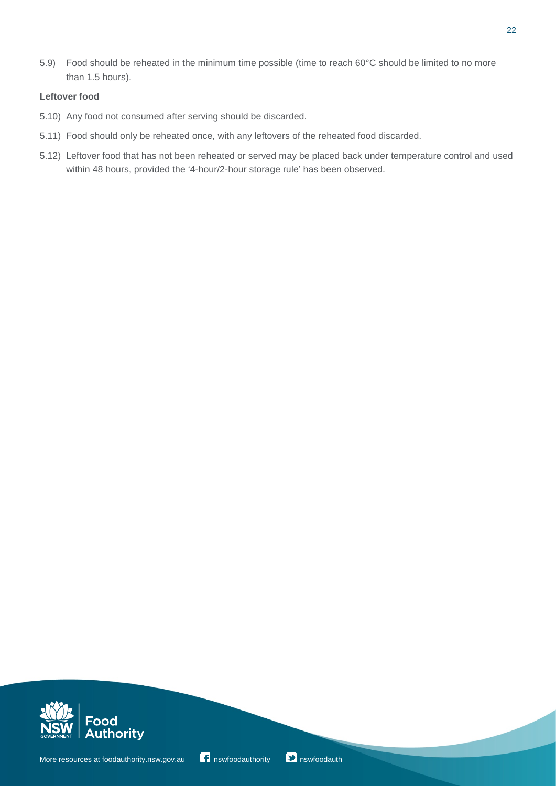5.9) Food should be reheated in the minimum time possible (time to reach 60°C should be limited to no more than 1.5 hours).

#### **Leftover food**

- 5.10) Any food not consumed after serving should be discarded.
- 5.11) Food should only be reheated once, with any leftovers of the reheated food discarded.
- 5.12) Leftover food that has not been reheated or served may be placed back under temperature control and used within 48 hours, provided the '4-hour/2-hour storage rule' has been observed.



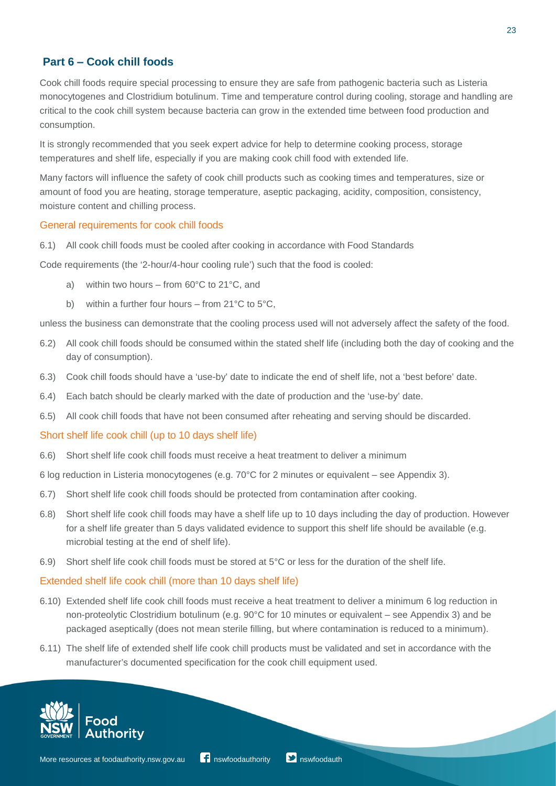## **Part 6 ‒ Cook chill foods**

Cook chill foods require special processing to ensure they are safe from pathogenic bacteria such as Listeria monocytogenes and Clostridium botulinum. Time and temperature control during cooling, storage and handling are critical to the cook chill system because bacteria can grow in the extended time between food production and consumption.

It is strongly recommended that you seek expert advice for help to determine cooking process, storage temperatures and shelf life, especially if you are making cook chill food with extended life.

Many factors will influence the safety of cook chill products such as cooking times and temperatures, size or amount of food you are heating, storage temperature, aseptic packaging, acidity, composition, consistency, moisture content and chilling process.

#### General requirements for cook chill foods

6.1) All cook chill foods must be cooled after cooking in accordance with Food Standards

Code requirements (the '2-hour/4-hour cooling rule') such that the food is cooled:

- a) within two hours  $-$  from 60 $\degree$ C to 21 $\degree$ C, and
- b) within a further four hours  $-$  from 21 $^{\circ}$ C to 5 $^{\circ}$ C.

unless the business can demonstrate that the cooling process used will not adversely affect the safety of the food.

- 6.2) All cook chill foods should be consumed within the stated shelf life (including both the day of cooking and the day of consumption).
- 6.3) Cook chill foods should have a 'use-by' date to indicate the end of shelf life, not a 'best before' date.
- 6.4) Each batch should be clearly marked with the date of production and the 'use-by' date.
- 6.5) All cook chill foods that have not been consumed after reheating and serving should be discarded.

#### Short shelf life cook chill (up to 10 days shelf life)

6.6) Short shelf life cook chill foods must receive a heat treatment to deliver a minimum

6 log reduction in Listeria monocytogenes (e.g.  $70^{\circ}$ C for 2 minutes or equivalent – see Appendix 3).

- 6.7) Short shelf life cook chill foods should be protected from contamination after cooking.
- 6.8) Short shelf life cook chill foods may have a shelf life up to 10 days including the day of production. However for a shelf life greater than 5 days validated evidence to support this shelf life should be available (e.g. microbial testing at the end of shelf life).
- 6.9) Short shelf life cook chill foods must be stored at 5°C or less for the duration of the shelf life.

#### Extended shelf life cook chill (more than 10 days shelf life)

- 6.10) Extended shelf life cook chill foods must receive a heat treatment to deliver a minimum 6 log reduction in non-proteolytic Clostridium botulinum (e.g. 90°C for 10 minutes or equivalent – see Appendix 3) and be packaged aseptically (does not mean sterile filling, but where contamination is reduced to a minimum).
- 6.11) The shelf life of extended shelf life cook chill products must be validated and set in accordance with the manufacturer's documented specification for the cook chill equipment used.

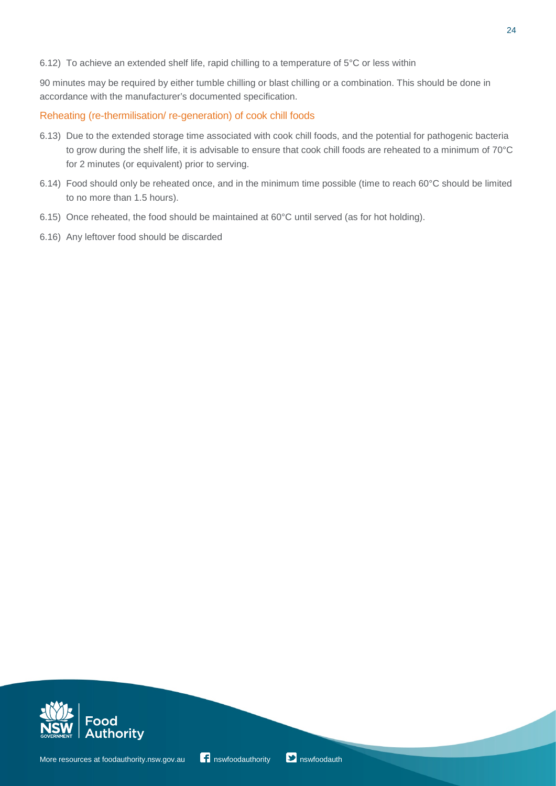6.12) To achieve an extended shelf life, rapid chilling to a temperature of 5°C or less within

90 minutes may be required by either tumble chilling or blast chilling or a combination. This should be done in accordance with the manufacturer's documented specification.

Reheating (re-thermilisation/ re-generation) of cook chill foods

- 6.13) Due to the extended storage time associated with cook chill foods, and the potential for pathogenic bacteria to grow during the shelf life, it is advisable to ensure that cook chill foods are reheated to a minimum of 70°C for 2 minutes (or equivalent) prior to serving.
- 6.14) Food should only be reheated once, and in the minimum time possible (time to reach 60°C should be limited to no more than 1.5 hours).
- 6.15) Once reheated, the food should be maintained at 60°C until served (as for hot holding).
- 6.16) Any leftover food should be discarded



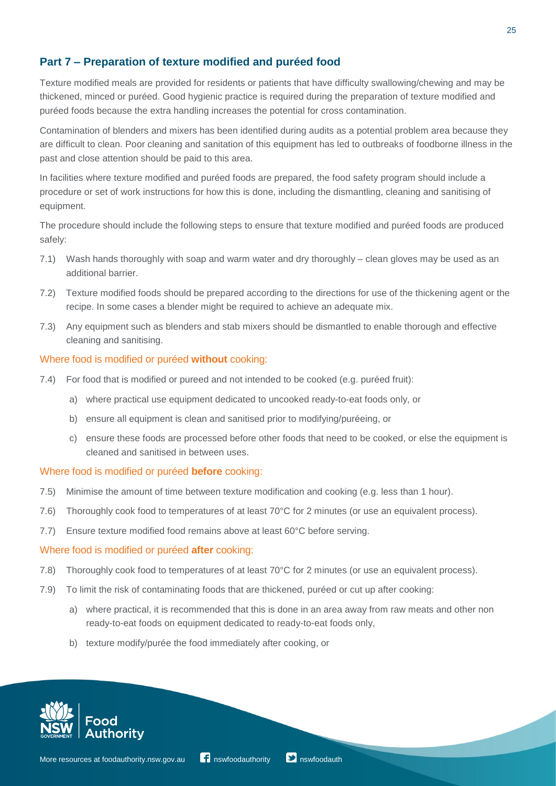## **Part 7 ‒ Preparation of texture modified and puréed food**

Texture modified meals are provided for residents or patients that have difficulty swallowing/chewing and may be thickened, minced or puréed. Good hygienic practice is required during the preparation of texture modified and puréed foods because the extra handling increases the potential for cross contamination.

Contamination of blenders and mixers has been identified during audits as a potential problem area because they are difficult to clean. Poor cleaning and sanitation of this equipment has led to outbreaks of foodborne illness in the past and close attention should be paid to this area.

In facilities where texture modified and puréed foods are prepared, the food safety program should include a procedure or set of work instructions for how this is done, including the dismantling, cleaning and sanitising of equipment.

The procedure should include the following steps to ensure that texture modified and puréed foods are produced safely:

- 7.1) Wash hands thoroughly with soap and warm water and dry thoroughly clean gloves may be used as an additional barrier.
- 7.2) Texture modified foods should be prepared according to the directions for use of the thickening agent or the recipe. In some cases a blender might be required to achieve an adequate mix.
- 7.3) Any equipment such as blenders and stab mixers should be dismantled to enable thorough and effective cleaning and sanitising.

#### Where food is modified or puréed **without** cooking:

- 7.4) For food that is modified or pureed and not intended to be cooked (e.g. puréed fruit):
	- a) where practical use equipment dedicated to uncooked ready-to-eat foods only, or
	- b) ensure all equipment is clean and sanitised prior to modifying/puréeing, or
	- c) ensure these foods are processed before other foods that need to be cooked, or else the equipment is cleaned and sanitised in between uses.

#### Where food is modified or puréed **before** cooking:

- 7.5) Minimise the amount of time between texture modification and cooking (e.g. less than 1 hour).
- 7.6) Thoroughly cook food to temperatures of at least 70°C for 2 minutes (or use an equivalent process).
- 7.7) Ensure texture modified food remains above at least 60°C before serving.

#### Where food is modified or puréed **after** cooking:

- 7.8) Thoroughly cook food to temperatures of at least 70°C for 2 minutes (or use an equivalent process).
- 7.9) To limit the risk of contaminating foods that are thickened, puréed or cut up after cooking:
	- a) where practical, it is recommended that this is done in an area away from raw meats and other non ready-to-eat foods on equipment dedicated to ready-to-eat foods only,
	- b) texture modify/purée the food immediately after cooking, or

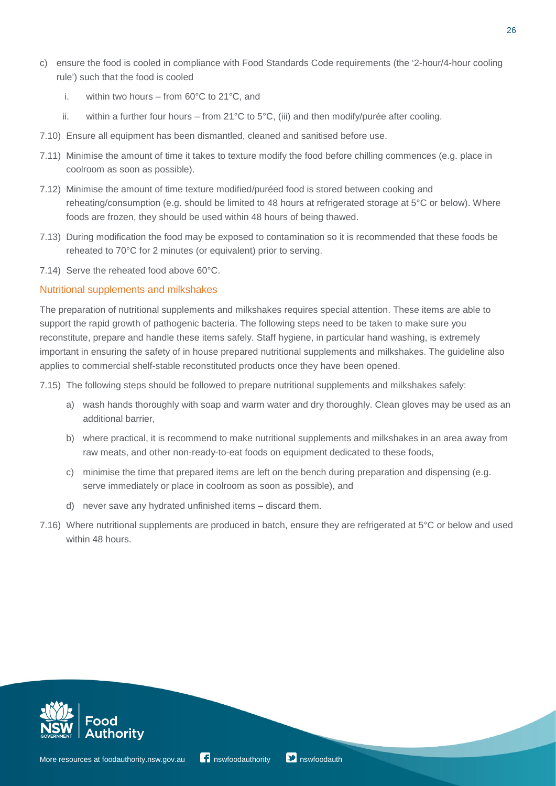- c) ensure the food is cooled in compliance with Food Standards Code requirements (the '2-hour/4-hour cooling rule') such that the food is cooled
	- i. within two hours from  $60^{\circ}$ C to  $21^{\circ}$ C, and
	- ii. within a further four hours from 21°C to 5°C, (iii) and then modify/purée after cooling.
- 7.10) Ensure all equipment has been dismantled, cleaned and sanitised before use.
- 7.11) Minimise the amount of time it takes to texture modify the food before chilling commences (e.g. place in coolroom as soon as possible).
- 7.12) Minimise the amount of time texture modified/puréed food is stored between cooking and reheating/consumption (e.g. should be limited to 48 hours at refrigerated storage at 5°C or below). Where foods are frozen, they should be used within 48 hours of being thawed.
- 7.13) During modification the food may be exposed to contamination so it is recommended that these foods be reheated to 70°C for 2 minutes (or equivalent) prior to serving.
- 7.14) Serve the reheated food above 60°C.

#### Nutritional supplements and milkshakes

The preparation of nutritional supplements and milkshakes requires special attention. These items are able to support the rapid growth of pathogenic bacteria. The following steps need to be taken to make sure you reconstitute, prepare and handle these items safely. Staff hygiene, in particular hand washing, is extremely important in ensuring the safety of in house prepared nutritional supplements and milkshakes. The guideline also applies to commercial shelf-stable reconstituted products once they have been opened.

7.15) The following steps should be followed to prepare nutritional supplements and milkshakes safely:

- a) wash hands thoroughly with soap and warm water and dry thoroughly. Clean gloves may be used as an additional barrier,
- b) where practical, it is recommend to make nutritional supplements and milkshakes in an area away from raw meats, and other non-ready-to-eat foods on equipment dedicated to these foods,
- c) minimise the time that prepared items are left on the bench during preparation and dispensing (e.g. serve immediately or place in coolroom as soon as possible), and
- d) never save any hydrated unfinished items discard them.
- 7.16) Where nutritional supplements are produced in batch, ensure they are refrigerated at 5°C or below and used within 48 hours.



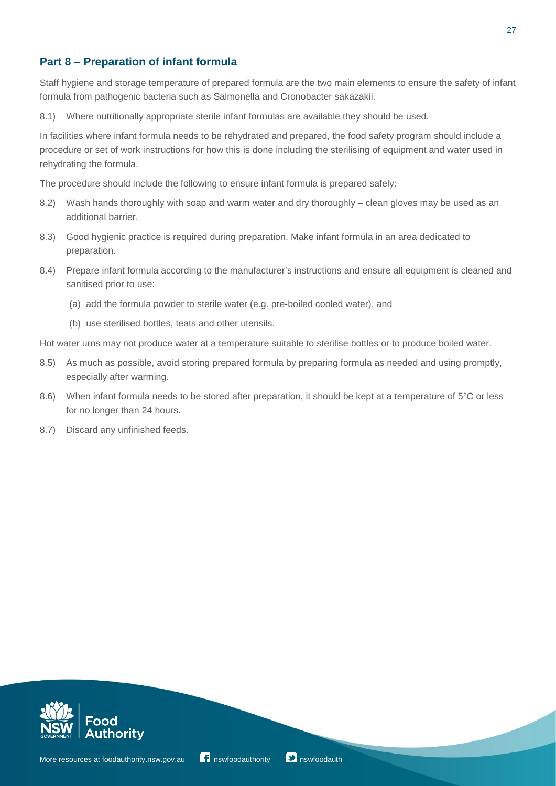## **Part 8 ‒ Preparation of infant formula**

Staff hygiene and storage temperature of prepared formula are the two main elements to ensure the safety of infant formula from pathogenic bacteria such as Salmonella and Cronobacter sakazakii.

8.1) Where nutritionally appropriate sterile infant formulas are available they should be used.

In facilities where infant formula needs to be rehydrated and prepared, the food safety program should include a procedure or set of work instructions for how this is done including the sterilising of equipment and water used in rehydrating the formula.

The procedure should include the following to ensure infant formula is prepared safely:

- 8.2) Wash hands thoroughly with soap and warm water and dry thoroughly clean gloves may be used as an additional barrier.
- 8.3) Good hygienic practice is required during preparation. Make infant formula in an area dedicated to preparation.
- 8.4) Prepare infant formula according to the manufacturer's instructions and ensure all equipment is cleaned and sanitised prior to use:
	- (a) add the formula powder to sterile water (e.g. pre-boiled cooled water), and
	- (b) use sterilised bottles, teats and other utensils.

Hot water urns may not produce water at a temperature suitable to sterilise bottles or to produce boiled water.

- 8.5) As much as possible, avoid storing prepared formula by preparing formula as needed and using promptly, especially after warming.
- 8.6) When infant formula needs to be stored after preparation, it should be kept at a temperature of 5°C or less for no longer than 24 hours.
- 8.7) Discard any unfinished feeds.



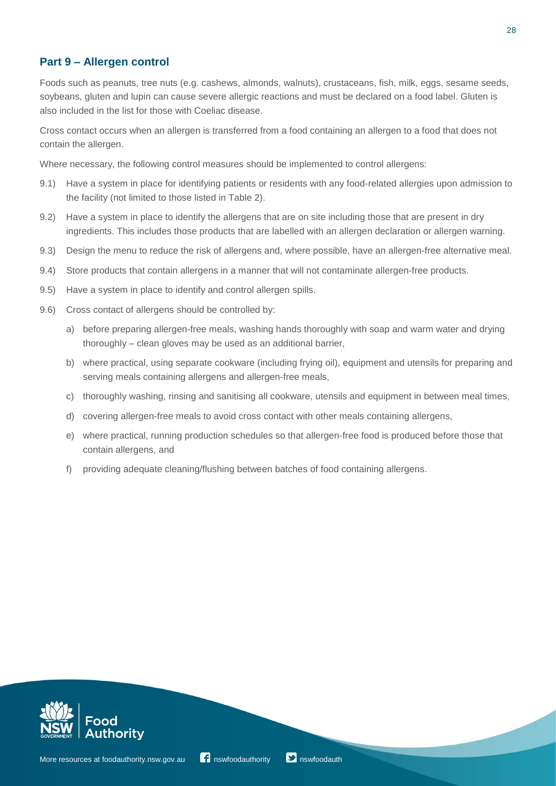## **Part 9 ‒ Allergen control**

Foods such as peanuts, tree nuts (e.g. cashews, almonds, walnuts), crustaceans, fish, milk, eggs, sesame seeds, soybeans, gluten and lupin can cause severe allergic reactions and must be declared on a food label. Gluten is also included in the list for those with Coeliac disease.

Cross contact occurs when an allergen is transferred from a food containing an allergen to a food that does not contain the allergen.

Where necessary, the following control measures should be implemented to control allergens:

- 9.1) Have a system in place for identifying patients or residents with any food-related allergies upon admission to the facility (not limited to those listed in Table 2).
- 9.2) Have a system in place to identify the allergens that are on site including those that are present in dry ingredients. This includes those products that are labelled with an allergen declaration or allergen warning.
- 9.3) Design the menu to reduce the risk of allergens and, where possible, have an allergen-free alternative meal.
- 9.4) Store products that contain allergens in a manner that will not contaminate allergen-free products.
- 9.5) Have a system in place to identify and control allergen spills.
- 9.6) Cross contact of allergens should be controlled by:
	- a) before preparing allergen-free meals, washing hands thoroughly with soap and warm water and drying thoroughly – clean gloves may be used as an additional barrier,
	- b) where practical, using separate cookware (including frying oil), equipment and utensils for preparing and serving meals containing allergens and allergen-free meals,
	- c) thoroughly washing, rinsing and sanitising all cookware, utensils and equipment in between meal times,
	- d) covering allergen-free meals to avoid cross contact with other meals containing allergens,
	- e) where practical, running production schedules so that allergen-free food is produced before those that contain allergens, and
	- f) providing adequate cleaning/flushing between batches of food containing allergens.



28

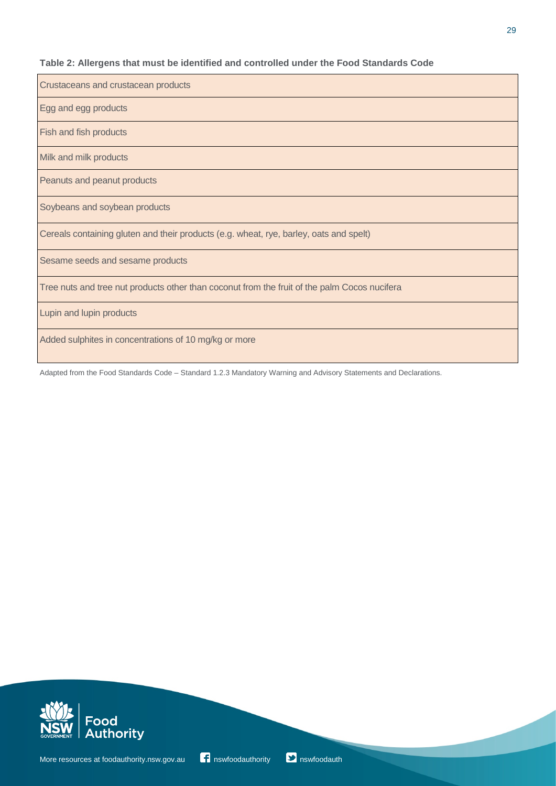## **Table 2: Allergens that must be identified and controlled under the Food Standards Code**

| Crustaceans and crustacean products                                                          |
|----------------------------------------------------------------------------------------------|
| Egg and egg products                                                                         |
| <b>Fish and fish products</b>                                                                |
| Milk and milk products                                                                       |
| Peanuts and peanut products                                                                  |
| Soybeans and soybean products                                                                |
| Cereals containing gluten and their products (e.g. wheat, rye, barley, oats and spelt)       |
| Sesame seeds and sesame products                                                             |
| Tree nuts and tree nut products other than coconut from the fruit of the palm Cocos nucifera |
| Lupin and lupin products                                                                     |
| Added sulphites in concentrations of 10 mg/kg or more                                        |

Adapted from the Food Standards Code – Standard 1.2.3 Mandatory Warning and Advisory Statements and Declarations.



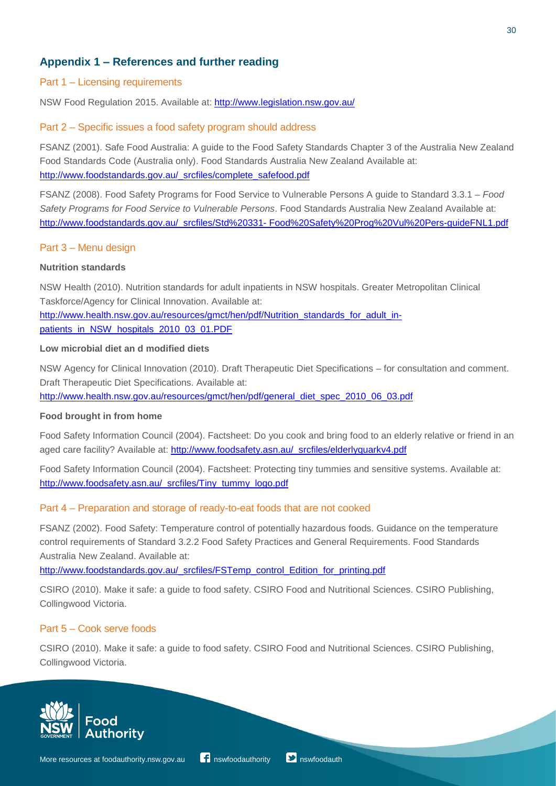## **Appendix 1 ‒ References and further reading**

#### Part 1 – Licensing requirements

NSW Food Regulation 2015. Available at:<http://www.legislation.nsw.gov.au/>

#### Part 2 – Specific issues a food safety program should address

FSANZ (2001). Safe Food Australia: A guide to the Food Safety Standards Chapter 3 of the Australia New Zealand Food Standards Code (Australia only). Food Standards Australia New Zealand Available at: [http://www.foodstandards.gov.au/\\_srcfiles/complete\\_safefood.pdf](http://www.foodstandards.gov.au/_srcfiles/complete_safefood.pdf)

FSANZ (2008). Food Safety Programs for Food Service to Vulnerable Persons A guide to Standard 3.3.1 – *Food Safety Programs for Food Service to Vulnerable Persons*. Food Standards Australia New Zealand Available at: [http://www.foodstandards.gov.au/\\_srcfiles/Std%20331-](http://www.foodstandards.gov.au/_srcfiles/Std%20331-Food%20Safety%20Prog%20Vul%20Pers-guideFNL1.pdf) [Food%20Safety%20Prog%20Vul%20Pers-guideFNL1.pdf](http://www.foodstandards.gov.au/_srcfiles/Std%20331-Food%20Safety%20Prog%20Vul%20Pers-guideFNL1.pdf)

#### Part 3 – Menu design

#### **Nutrition standards**

NSW Health (2010). Nutrition standards for adult inpatients in NSW hospitals. Greater Metropolitan Clinical Taskforce/Agency for Clinical Innovation. Available at: [http://www.health.nsw.gov.au/resources/gmct/hen/pdf/Nutrition\\_standards\\_for\\_adult\\_in](http://www.health.nsw.gov.au/resources/gmct/hen/pdf/Nutrition_standards_for_adult_in-patients_in_NSW_hospitals_2010_03_01.PDF)[patients\\_in\\_NSW\\_hospitals\\_2010\\_03\\_01.PDF](http://www.health.nsw.gov.au/resources/gmct/hen/pdf/Nutrition_standards_for_adult_in-patients_in_NSW_hospitals_2010_03_01.PDF)

#### **Low microbial diet an d modified diets**

NSW Agency for Clinical Innovation (2010). Draft Therapeutic Diet Specifications – for consultation and comment. Draft Therapeutic Diet Specifications. Available at: [http://www.health.nsw.gov.au/resources/gmct/hen/pdf/general\\_diet\\_spec\\_2010\\_06\\_03.pdf](http://www.health.nsw.gov.au/resources/gmct/hen/pdf/general_diet_spec_2010_06_03.pdf)

#### **Food brought in from home**

Food Safety Information Council (2004). Factsheet: Do you cook and bring food to an elderly relative or friend in an aged care facility? Available at: [http://www.foodsafety.asn.au/\\_srcfiles/elderlyquarkv4.pdf](http://www.foodsafety.asn.au/_srcfiles/elderlyquarkv4.pdf)

Food Safety Information Council (2004). Factsheet: Protecting tiny tummies and sensitive systems. Available at: [http://www.foodsafety.asn.au/\\_srcfiles/Tiny\\_tummy\\_logo.pdf](http://www.foodsafety.asn.au/_srcfiles/Tiny_tummy_logo.pdf)

#### Part 4 – Preparation and storage of ready-to-eat foods that are not cooked

FSANZ (2002). Food Safety: Temperature control of potentially hazardous foods. Guidance on the temperature control requirements of Standard 3.2.2 Food Safety Practices and General Requirements. Food Standards Australia New Zealand. Available at:

[http://www.foodstandards.gov.au/\\_srcfiles/FSTemp\\_control\\_Edition\\_for\\_printing.pdf](http://www.foodstandards.gov.au/_srcfiles/FSTemp_control_Edition_for_printing.pdf)

CSIRO (2010). Make it safe: a guide to food safety. CSIRO Food and Nutritional Sciences. CSIRO Publishing, Collingwood Victoria.

#### Part 5 – Cook serve foods

CSIRO (2010). Make it safe: a guide to food safety. CSIRO Food and Nutritional Sciences. CSIRO Publishing, Collingwood Victoria.





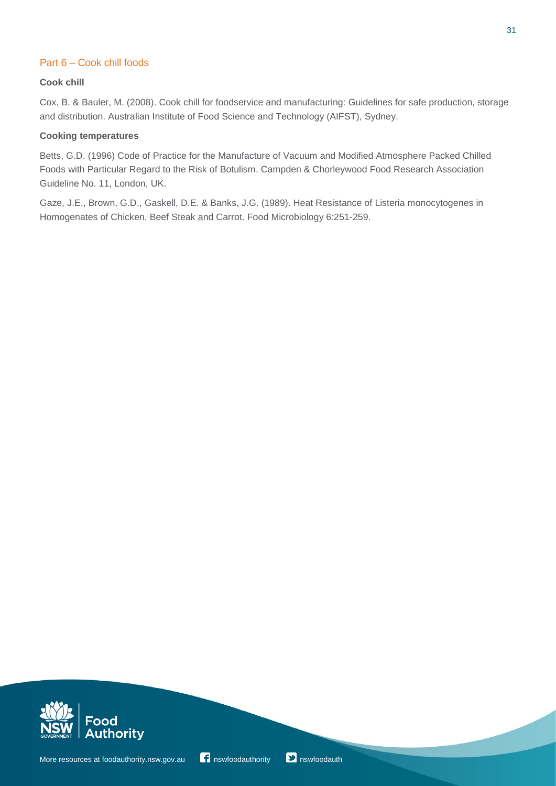## Part 6 – Cook chill foods

#### **Cook chill**

Cox, B. & Bauler, M. (2008). Cook chill for foodservice and manufacturing: Guidelines for safe production, storage and distribution. Australian Institute of Food Science and Technology (AIFST), Sydney.

#### **Cooking temperatures**

Betts, G.D. (1996) Code of Practice for the Manufacture of Vacuum and Modified Atmosphere Packed Chilled Foods with Particular Regard to the Risk of Botulism. Campden & Chorleywood Food Research Association Guideline No. 11, London, UK.

Gaze, J.E., Brown, G.D., Gaskell, D.E. & Banks, J.G. (1989). Heat Resistance of Listeria monocytogenes in Homogenates of Chicken, Beef Steak and Carrot. Food Microbiology 6:251-259.



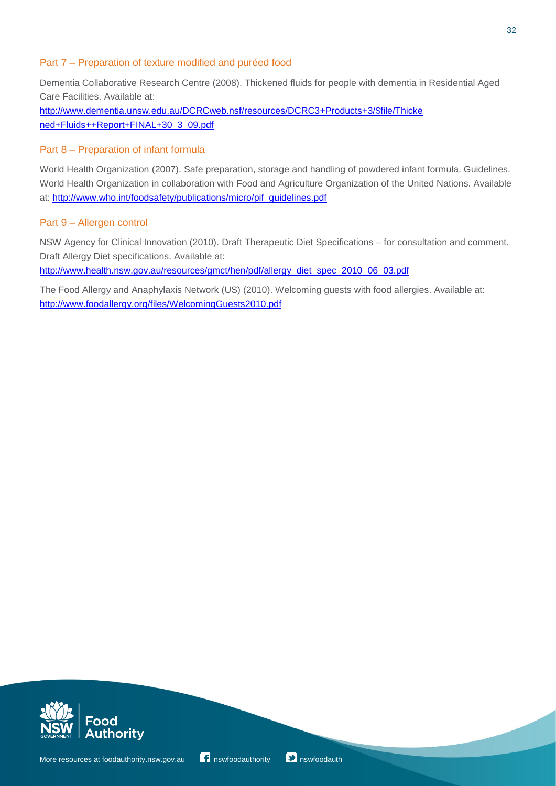#### Part 7 – Preparation of texture modified and puréed food

Dementia Collaborative Research Centre (2008). Thickened fluids for people with dementia in Residential Aged Care Facilities. Available at:

[http://www.dementia.unsw.edu.au/DCRCweb.nsf/resources/DCRC3+Products+3/\\$file/Thicke](http://www.dementia.unsw.edu.au/DCRCweb.nsf/resources/DCRC3%2BProducts%2B3/%24file/Thickened%2BFluids%2B%2BReport%2BFINAL%2B30_3_09.pdf)  [ned+Fluids++Report+FINAL+30\\_3\\_09.pdf](http://www.dementia.unsw.edu.au/DCRCweb.nsf/resources/DCRC3%2BProducts%2B3/%24file/Thickened%2BFluids%2B%2BReport%2BFINAL%2B30_3_09.pdf)

## Part 8 – Preparation of infant formula

World Health Organization (2007). Safe preparation, storage and handling of powdered infant formula. Guidelines. World Health Organization in collaboration with Food and Agriculture Organization of the United Nations. Available at: [http://www.who.int/foodsafety/publications/micro/pif\\_guidelines.pdf](http://www.who.int/foodsafety/publications/micro/pif_guidelines.pdf)

## Part 9 – Allergen control

NSW Agency for Clinical Innovation (2010). Draft Therapeutic Diet Specifications – for consultation and comment. Draft Allergy Diet specifications. Available at:

[http://www.health.nsw.gov.au/resources/gmct/hen/pdf/allergy\\_diet\\_spec\\_2010\\_06\\_03.pdf](http://www.health.nsw.gov.au/resources/gmct/hen/pdf/allergy_diet_spec_2010_06_03.pdf)

The Food Allergy and Anaphylaxis Network (US) (2010). Welcoming guests with food allergies. Available at: <http://www.foodallergy.org/files/WelcomingGuests2010.pdf>



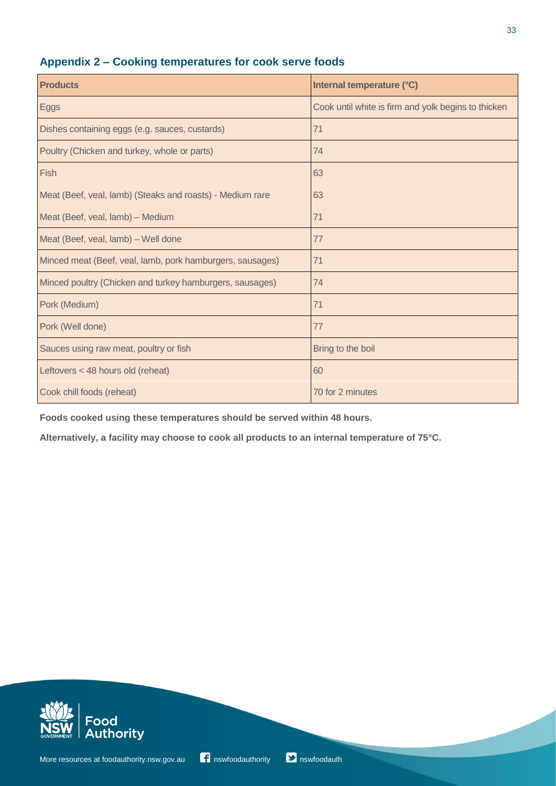# **Appendix 2 ‒ Cooking temperatures for cook serve foods**

| <b>Products</b>                                           | Internal temperature (°C)                           |
|-----------------------------------------------------------|-----------------------------------------------------|
| Eggs                                                      | Cook until white is firm and yolk begins to thicken |
| Dishes containing eggs (e.g. sauces, custards)            | 71                                                  |
| Poultry (Chicken and turkey, whole or parts)              | 74                                                  |
| Fish                                                      | 63                                                  |
| Meat (Beef, veal, lamb) (Steaks and roasts) - Medium rare | 63                                                  |
| Meat (Beef, veal, lamb) - Medium                          | 71                                                  |
| Meat (Beef, veal, lamb) - Well done                       | 77                                                  |
| Minced meat (Beef, veal, lamb, pork hamburgers, sausages) | 71                                                  |
| Minced poultry (Chicken and turkey hamburgers, sausages)  | 74                                                  |
| Pork (Medium)                                             | 71                                                  |
| Pork (Well done)                                          | 77                                                  |
| Sauces using raw meat, poultry or fish                    | Bring to the boil                                   |
| Leftovers < 48 hours old (reheat)                         | 60                                                  |
| Cook chill foods (reheat)                                 | 70 for 2 minutes                                    |

**Foods cooked using these temperatures should be served within 48 hours.**

**Alternatively, a facility may choose to cook all products to an internal temperature of 75°C.**



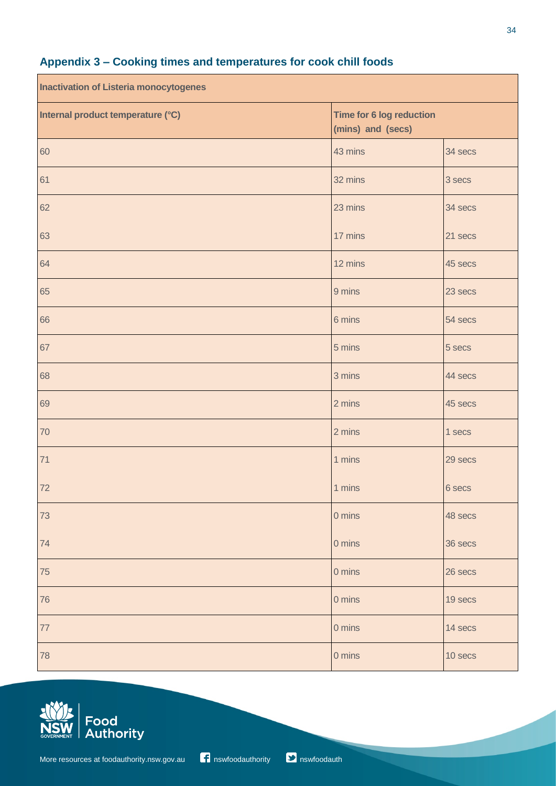| <b>Inactivation of Listeria monocytogenes</b> |                                               |         |
|-----------------------------------------------|-----------------------------------------------|---------|
| Internal product temperature (°C)             | Time for 6 log reduction<br>(mins) and (secs) |         |
| 60                                            | 43 mins                                       | 34 secs |
| 61                                            | 32 mins                                       | 3 secs  |
| 62                                            | 23 mins                                       | 34 secs |
| 63                                            | 17 mins                                       | 21 secs |
| 64                                            | 12 mins                                       | 45 secs |
| 65                                            | 9 mins                                        | 23 secs |
| 66                                            | 6 mins                                        | 54 secs |
| 67                                            | 5 mins                                        | 5 secs  |
| 68                                            | 3 mins                                        | 44 secs |
| 69                                            | 2 mins                                        | 45 secs |
| 70                                            | 2 mins                                        | 1 secs  |
| 71                                            | 1 mins                                        | 29 secs |
| 72                                            | 1 mins                                        | 6 secs  |
| 73                                            | 0 mins                                        | 48 secs |
| 74                                            | 0 mins                                        | 36 secs |
| 75                                            | 0 mins                                        | 26 secs |
| 76                                            | 0 mins                                        | 19 secs |
| $77$                                          | 0 mins                                        | 14 secs |
| 78                                            | 0 mins                                        | 10 secs |

# **Appendix 3 ‒ Cooking times and temperatures for cook chill foods**



 $\overline{\phantom{a}}$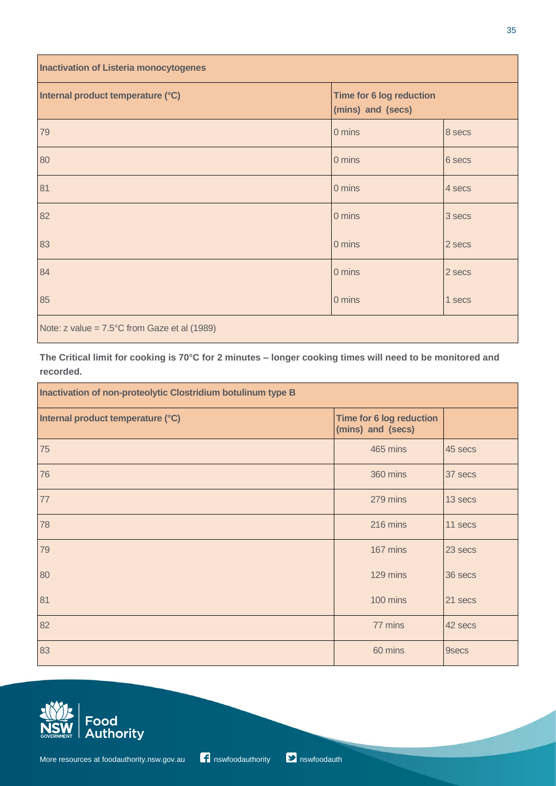| <b>Inactivation of Listeria monocytogenes</b>            |                                               |        |
|----------------------------------------------------------|-----------------------------------------------|--------|
| Internal product temperature (°C)                        | Time for 6 log reduction<br>(mins) and (secs) |        |
| 79                                                       | 0 mins                                        | 8 secs |
| 80                                                       | 0 mins                                        | 6 secs |
| 81                                                       | 0 mins                                        | 4 secs |
| 82                                                       | 0 mins                                        | 3 secs |
| 83                                                       | 0 mins                                        | 2 secs |
| 84                                                       | 0 mins                                        | 2 secs |
| 85                                                       | 0 mins                                        | 1 secs |
| Note: $z$ value = $7.5^{\circ}$ C from Gaze et al (1989) |                                               |        |

The Critical limit for cooking is 70°C for 2 minutes - longer cooking times will need to be monitored and **recorded.**

| Inactivation of non-proteolytic Clostridium botulinum type B |                                               |              |
|--------------------------------------------------------------|-----------------------------------------------|--------------|
| Internal product temperature (°C)                            | Time for 6 log reduction<br>(mins) and (secs) |              |
| 75                                                           | 465 mins                                      | 45 secs      |
| 76                                                           | 360 mins                                      | 37 secs      |
| 77                                                           | 279 mins                                      | 13 secs      |
| 78                                                           | 216 mins                                      | 11 secs      |
| 79                                                           | 167 mins                                      | 23 secs      |
| 80                                                           | 129 mins                                      | 36 secs      |
| 81                                                           | 100 mins                                      | 21 secs      |
| 82                                                           | 77 mins                                       | 42 secs      |
| 83                                                           | 60 mins                                       | <b>9secs</b> |

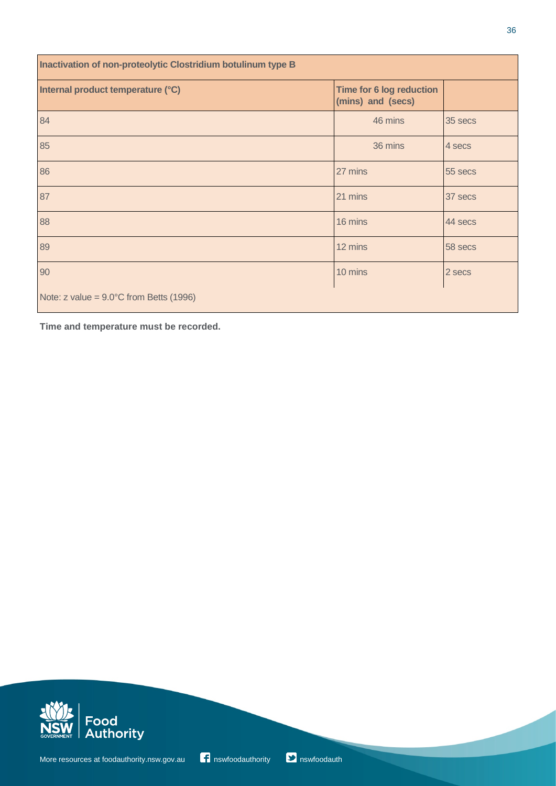| Inactivation of non-proteolytic Clostridium botulinum type B |                                                      |         |
|--------------------------------------------------------------|------------------------------------------------------|---------|
| Internal product temperature (°C)                            | <b>Time for 6 log reduction</b><br>(mins) and (secs) |         |
| 84                                                           | 46 mins                                              | 35 secs |
| 85                                                           | 36 mins                                              | 4 secs  |
| 86                                                           | 27 mins                                              | 55 secs |
| 87                                                           | 21 mins                                              | 37 secs |
| 88                                                           | 16 mins                                              | 44 secs |
| 89                                                           | 12 mins                                              | 58 secs |
| 90                                                           | 10 mins                                              | 2 secs  |
| Note: $z$ value = $9.0^{\circ}$ C from Betts (1996)          |                                                      |         |

**Time and temperature must be recorded.**



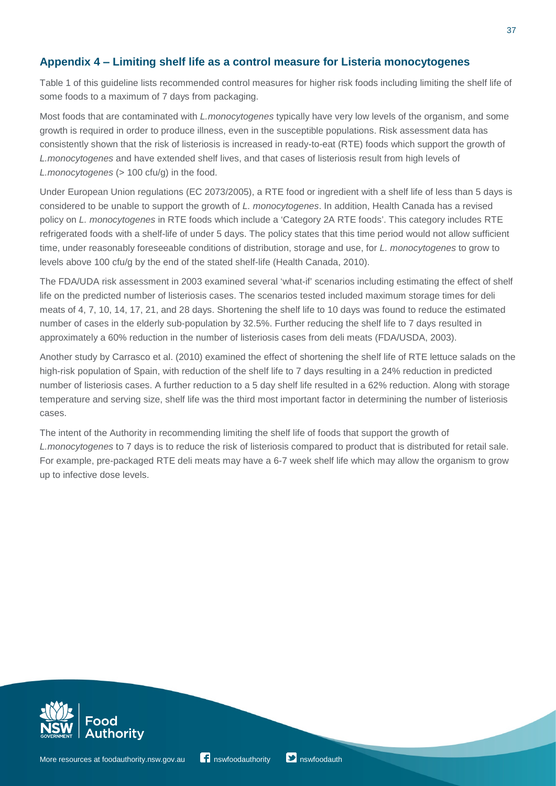## **Appendix 4 ‒ Limiting shelf life as a control measure for Listeria monocytogenes**

Table 1 of this guideline lists recommended control measures for higher risk foods including limiting the shelf life of some foods to a maximum of 7 days from packaging.

Most foods that are contaminated with *L.monocytogenes* typically have very low levels of the organism, and some growth is required in order to produce illness, even in the susceptible populations. Risk assessment data has consistently shown that the risk of listeriosis is increased in ready-to-eat (RTE) foods which support the growth of *L.monocytogenes* and have extended shelf lives, and that cases of listeriosis result from high levels of *L.monocytogenes (> 100 cfu/g)* in the food.

Under European Union regulations (EC 2073/2005), a RTE food or ingredient with a shelf life of less than 5 days is considered to be unable to support the growth of *L. monocytogenes*. In addition, Health Canada has a revised policy on *L. monocytogenes* in RTE foods which include a 'Category 2A RTE foods'. This category includes RTE refrigerated foods with a shelf-life of under 5 days. The policy states that this time period would not allow sufficient time, under reasonably foreseeable conditions of distribution, storage and use, for *L. monocytogenes* to grow to levels above 100 cfu/g by the end of the stated shelf-life (Health Canada, 2010).

The FDA/UDA risk assessment in 2003 examined several 'what-if' scenarios including estimating the effect of shelf life on the predicted number of listeriosis cases. The scenarios tested included maximum storage times for deli meats of 4, 7, 10, 14, 17, 21, and 28 days. Shortening the shelf life to 10 days was found to reduce the estimated number of cases in the elderly sub-population by 32.5%. Further reducing the shelf life to 7 days resulted in approximately a 60% reduction in the number of listeriosis cases from deli meats (FDA/USDA, 2003).

Another study by Carrasco et al. (2010) examined the effect of shortening the shelf life of RTE lettuce salads on the high-risk population of Spain, with reduction of the shelf life to 7 days resulting in a 24% reduction in predicted number of listeriosis cases. A further reduction to a 5 day shelf life resulted in a 62% reduction. Along with storage temperature and serving size, shelf life was the third most important factor in determining the number of listeriosis cases.

The intent of the Authority in recommending limiting the shelf life of foods that support the growth of *L.monocytogenes* to 7 days is to reduce the risk of listeriosis compared to product that is distributed for retail sale. For example, pre-packaged RTE deli meats may have a 6-7 week shelf life which may allow the organism to grow up to infective dose levels.



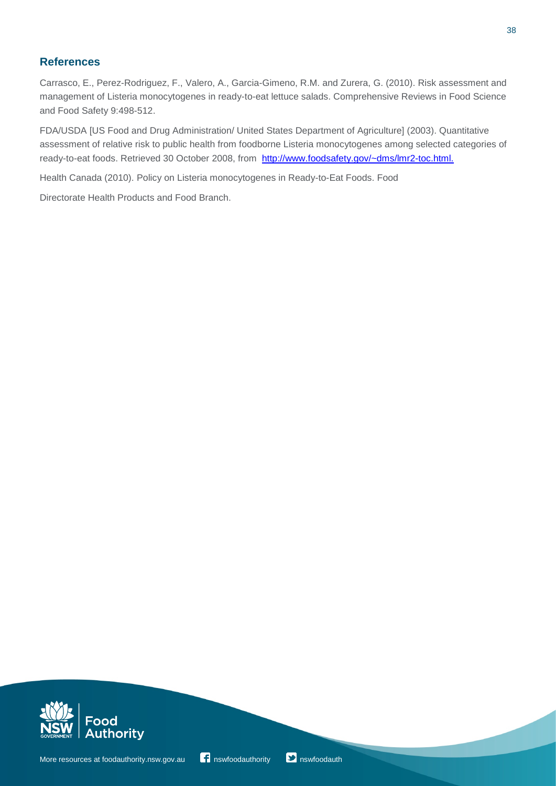## **References**

Carrasco, E., Perez-Rodriguez, F., Valero, A., Garcia-Gimeno, R.M. and Zurera, G. (2010). Risk assessment and management of Listeria monocytogenes in ready-to-eat lettuce salads. Comprehensive Reviews in Food Science and Food Safety 9:498-512.

FDA/USDA [US Food and Drug Administration/ United States Department of Agriculture] (2003). Quantitative assessment of relative risk to public health from foodborne Listeria monocytogenes among selected categories of ready-to-eat foods. Retrieved 30 October 2008, from [http://www.foodsafety.gov/~dms/lmr2-toc.html.](http://www.foodsafety.gov/%7Edms/lmr2-toc.html)

Health Canada (2010). Policy on Listeria monocytogenes in Ready-to-Eat Foods. Food

Directorate Health Products and Food Branch.